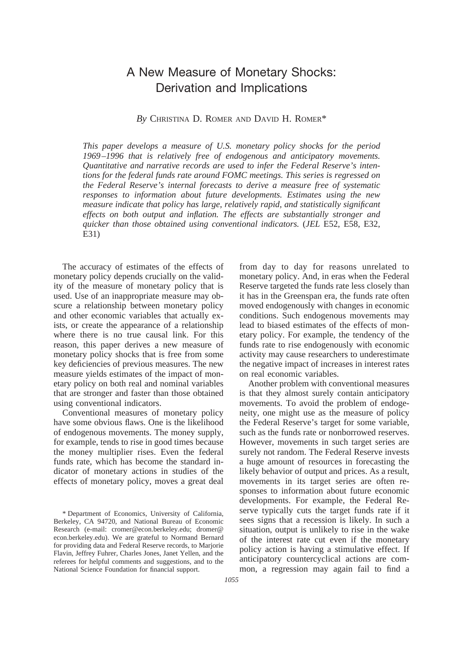# A New Measure of Monetary Shocks: Derivation and Implications

## *By* CHRISTINA D. ROMER AND DAVID H. ROMER\*

*This paper develops a measure of U.S. monetary policy shocks for the period 1969–1996 that is relatively free of endogenous and anticipatory movements. Quantitative and narrative records are used to infer the Federal Reserve's intentions for the federal funds rate around FOMC meetings. This series is regressed on the Federal Reserve's internal forecasts to derive a measure free of systematic responses to information about future developments. Estimates using the new measure indicate that policy has large, relatively rapid, and statistically significant effects on both output and inflation. The effects are substantially stronger and quicker than those obtained using conventional indicators.* (*JEL* E52, E58, E32, E31)

The accuracy of estimates of the effects of monetary policy depends crucially on the validity of the measure of monetary policy that is used. Use of an inappropriate measure may obscure a relationship between monetary policy and other economic variables that actually exists, or create the appearance of a relationship where there is no true causal link. For this reason, this paper derives a new measure of monetary policy shocks that is free from some key deficiencies of previous measures. The new measure yields estimates of the impact of monetary policy on both real and nominal variables that are stronger and faster than those obtained using conventional indicators.

Conventional measures of monetary policy have some obvious flaws. One is the likelihood of endogenous movements. The money supply, for example, tends to rise in good times because the money multiplier rises. Even the federal funds rate, which has become the standard indicator of monetary actions in studies of the effects of monetary policy, moves a great deal from day to day for reasons unrelated to monetary policy. And, in eras when the Federal Reserve targeted the funds rate less closely than it has in the Greenspan era, the funds rate often moved endogenously with changes in economic conditions. Such endogenous movements may lead to biased estimates of the effects of monetary policy. For example, the tendency of the funds rate to rise endogenously with economic activity may cause researchers to underestimate the negative impact of increases in interest rates on real economic variables.

Another problem with conventional measures is that they almost surely contain anticipatory movements. To avoid the problem of endogeneity, one might use as the measure of policy the Federal Reserve's target for some variable, such as the funds rate or nonborrowed reserves. However, movements in such target series are surely not random. The Federal Reserve invests a huge amount of resources in forecasting the likely behavior of output and prices. As a result, movements in its target series are often responses to information about future economic developments. For example, the Federal Reserve typically cuts the target funds rate if it sees signs that a recession is likely. In such a situation, output is unlikely to rise in the wake of the interest rate cut even if the monetary policy action is having a stimulative effect. If anticipatory countercyclical actions are common, a regression may again fail to find a

<sup>\*</sup> Department of Economics, University of California, Berkeley, CA 94720, and National Bureau of Economic Research (e-mail: cromer@econ.berkeley.edu; dromer@ econ.berkeley.edu). We are grateful to Normand Bernard for providing data and Federal Reserve records, to Marjorie Flavin, Jeffrey Fuhrer, Charles Jones, Janet Yellen, and the referees for helpful comments and suggestions, and to the National Science Foundation for financial support.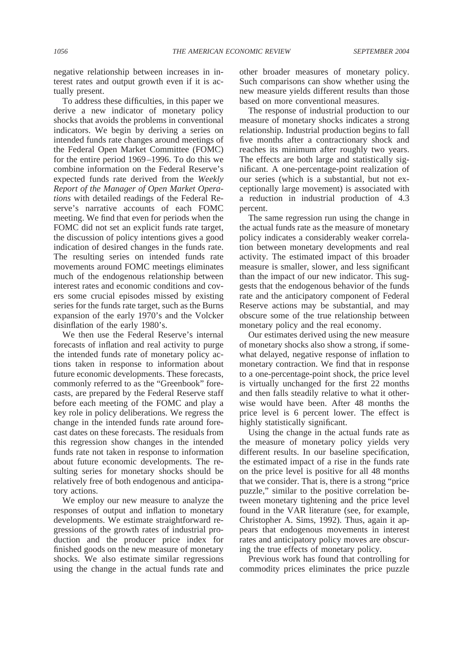negative relationship between increases in interest rates and output growth even if it is actually present.

To address these difficulties, in this paper we derive a new indicator of monetary policy shocks that avoids the problems in conventional indicators. We begin by deriving a series on intended funds rate changes around meetings of the Federal Open Market Committee (FOMC) for the entire period 1969–1996. To do this we combine information on the Federal Reserve's expected funds rate derived from the *Weekly Report of the Manager of Open Market Operations* with detailed readings of the Federal Reserve's narrative accounts of each FOMC meeting. We find that even for periods when the FOMC did not set an explicit funds rate target, the discussion of policy intentions gives a good indication of desired changes in the funds rate. The resulting series on intended funds rate movements around FOMC meetings eliminates much of the endogenous relationship between interest rates and economic conditions and covers some crucial episodes missed by existing series for the funds rate target, such as the Burns expansion of the early 1970's and the Volcker disinflation of the early 1980's.

We then use the Federal Reserve's internal forecasts of inflation and real activity to purge the intended funds rate of monetary policy actions taken in response to information about future economic developments. These forecasts, commonly referred to as the "Greenbook" forecasts, are prepared by the Federal Reserve staff before each meeting of the FOMC and play a key role in policy deliberations. We regress the change in the intended funds rate around forecast dates on these forecasts. The residuals from this regression show changes in the intended funds rate not taken in response to information about future economic developments. The resulting series for monetary shocks should be relatively free of both endogenous and anticipatory actions.

We employ our new measure to analyze the responses of output and inflation to monetary developments. We estimate straightforward regressions of the growth rates of industrial production and the producer price index for finished goods on the new measure of monetary shocks. We also estimate similar regressions using the change in the actual funds rate and

other broader measures of monetary policy. Such comparisons can show whether using the new measure yields different results than those based on more conventional measures.

The response of industrial production to our measure of monetary shocks indicates a strong relationship. Industrial production begins to fall five months after a contractionary shock and reaches its minimum after roughly two years. The effects are both large and statistically significant. A one-percentage-point realization of our series (which is a substantial, but not exceptionally large movement) is associated with a reduction in industrial production of 4.3 percent.

The same regression run using the change in the actual funds rate as the measure of monetary policy indicates a considerably weaker correlation between monetary developments and real activity. The estimated impact of this broader measure is smaller, slower, and less significant than the impact of our new indicator. This suggests that the endogenous behavior of the funds rate and the anticipatory component of Federal Reserve actions may be substantial, and may obscure some of the true relationship between monetary policy and the real economy.

Our estimates derived using the new measure of monetary shocks also show a strong, if somewhat delayed, negative response of inflation to monetary contraction. We find that in response to a one-percentage-point shock, the price level is virtually unchanged for the first 22 months and then falls steadily relative to what it otherwise would have been. After 48 months the price level is 6 percent lower. The effect is highly statistically significant.

Using the change in the actual funds rate as the measure of monetary policy yields very different results. In our baseline specification, the estimated impact of a rise in the funds rate on the price level is positive for all 48 months that we consider. That is, there is a strong "price puzzle," similar to the positive correlation between monetary tightening and the price level found in the VAR literature (see, for example, Christopher A. Sims, 1992). Thus, again it appears that endogenous movements in interest rates and anticipatory policy moves are obscuring the true effects of monetary policy.

Previous work has found that controlling for commodity prices eliminates the price puzzle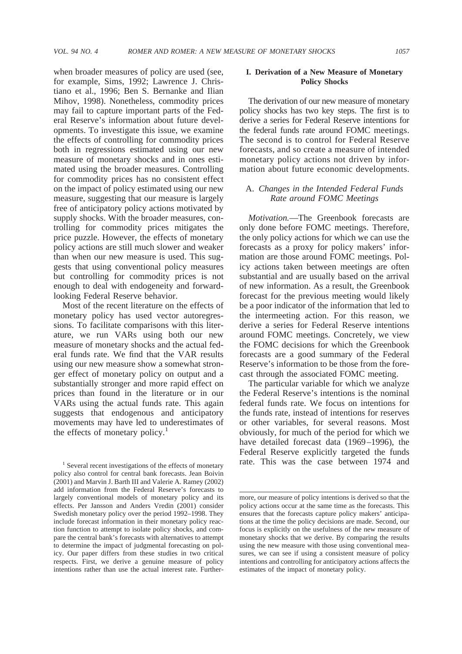when broader measures of policy are used (see, for example, Sims, 1992; Lawrence J. Christiano et al., 1996; Ben S. Bernanke and Ilian Mihov, 1998). Nonetheless, commodity prices may fail to capture important parts of the Federal Reserve's information about future developments. To investigate this issue, we examine the effects of controlling for commodity prices both in regressions estimated using our new measure of monetary shocks and in ones estimated using the broader measures. Controlling for commodity prices has no consistent effect on the impact of policy estimated using our new measure, suggesting that our measure is largely free of anticipatory policy actions motivated by supply shocks. With the broader measures, controlling for commodity prices mitigates the price puzzle. However, the effects of monetary policy actions are still much slower and weaker than when our new measure is used. This suggests that using conventional policy measures but controlling for commodity prices is not enough to deal with endogeneity and forwardlooking Federal Reserve behavior.

Most of the recent literature on the effects of monetary policy has used vector autoregressions. To facilitate comparisons with this literature, we run VARs using both our new measure of monetary shocks and the actual federal funds rate. We find that the VAR results using our new measure show a somewhat stronger effect of monetary policy on output and a substantially stronger and more rapid effect on prices than found in the literature or in our VARs using the actual funds rate. This again suggests that endogenous and anticipatory movements may have led to underestimates of the effects of monetary policy. $<sup>1</sup>$ </sup>

### **I. Derivation of a New Measure of Monetary Policy Shocks**

The derivation of our new measure of monetary policy shocks has two key steps. The first is to derive a series for Federal Reserve intentions for the federal funds rate around FOMC meetings. The second is to control for Federal Reserve forecasts, and so create a measure of intended monetary policy actions not driven by information about future economic developments.

## A. *Changes in the Intended Federal Funds Rate around FOMC Meetings*

*Motivation.*—The Greenbook forecasts are only done before FOMC meetings. Therefore, the only policy actions for which we can use the forecasts as a proxy for policy makers' information are those around FOMC meetings. Policy actions taken between meetings are often substantial and are usually based on the arrival of new information. As a result, the Greenbook forecast for the previous meeting would likely be a poor indicator of the information that led to the intermeeting action. For this reason, we derive a series for Federal Reserve intentions around FOMC meetings. Concretely, we view the FOMC decisions for which the Greenbook forecasts are a good summary of the Federal Reserve's information to be those from the forecast through the associated FOMC meeting.

The particular variable for which we analyze the Federal Reserve's intentions is the nominal federal funds rate. We focus on intentions for the funds rate, instead of intentions for reserves or other variables, for several reasons. Most obviously, for much of the period for which we have detailed forecast data (1969–1996), the Federal Reserve explicitly targeted the funds <sup>1</sup> Several recent investigations of the effects of monetary rate. This was the case between 1974 and

policy also control for central bank forecasts. Jean Boivin (2001) and Marvin J. Barth III and Valerie A. Ramey (2002) add information from the Federal Reserve's forecasts to largely conventional models of monetary policy and its effects. Per Jansson and Anders Vredin (2001) consider Swedish monetary policy over the period 1992–1998. They include forecast information in their monetary policy reaction function to attempt to isolate policy shocks, and compare the central bank's forecasts with alternatives to attempt to determine the impact of judgmental forecasting on policy. Our paper differs from these studies in two critical respects. First, we derive a genuine measure of policy intentions rather than use the actual interest rate. Further-

more, our measure of policy intentions is derived so that the policy actions occur at the same time as the forecasts. This ensures that the forecasts capture policy makers' anticipations at the time the policy decisions are made. Second, our focus is explicitly on the usefulness of the new measure of monetary shocks that we derive. By comparing the results using the new measure with those using conventional measures, we can see if using a consistent measure of policy intentions and controlling for anticipatory actions affects the estimates of the impact of monetary policy.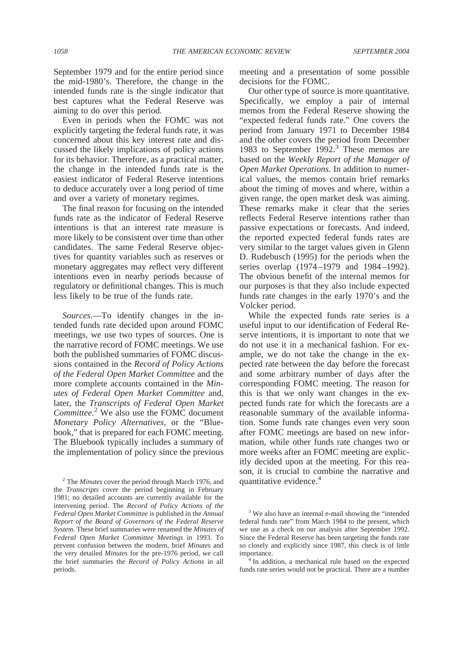September 1979 and for the entire period since the mid-1980's. Therefore, the change in the intended funds rate is the single indicator that best captures what the Federal Reserve was aiming to do over this period.

Even in periods when the FOMC was not explicitly targeting the federal funds rate, it was concerned about this key interest rate and discussed the likely implications of policy actions for its behavior. Therefore, as a practical matter, the change in the intended funds rate is the easiest indicator of Federal Reserve intentions to deduce accurately over a long period of time and over a variety of monetary regimes.

The final reason for focusing on the intended funds rate as the indicator of Federal Reserve intentions is that an interest rate measure is more likely to be consistent over time than other candidates. The same Federal Reserve objectives for quantity variables such as reserves or monetary aggregates may reflect very different intentions even in nearby periods because of regulatory or definitional changes. This is much less likely to be true of the funds rate.

*Sources.*—To identify changes in the intended funds rate decided upon around FOMC meetings, we use two types of sources. One is the narrative record of FOMC meetings. We use both the published summaries of FOMC discussions contained in the *Record of Policy Actions of the Federal Open Market Committee* and the more complete accounts contained in the *Minutes of Federal Open Market Committee* and, later, the *Transcripts of Federal Open Market Committee.*<sup>2</sup> We also use the FOMC document *Monetary Policy Alternatives,* or the "Bluebook," that is prepared for each FOMC meeting. The Bluebook typically includes a summary of the implementation of policy since the previous

meeting and a presentation of some possible decisions for the FOMC.

Our other type of source is more quantitative. Specifically, we employ a pair of internal memos from the Federal Reserve showing the "expected federal funds rate." One covers the period from January 1971 to December 1984 and the other covers the period from December 1983 to September  $1992.<sup>3</sup>$  These memos are based on the *Weekly Report of the Manager of Open Market Operations.* In addition to numerical values, the memos contain brief remarks about the timing of moves and where, within a given range, the open market desk was aiming. These remarks make it clear that the series reflects Federal Reserve intentions rather than passive expectations or forecasts. And indeed, the reported expected federal funds rates are very similar to the target values given in Glenn D. Rudebusch (1995) for the periods when the series overlap (1974–1979 and 1984–1992). The obvious benefit of the internal memos for our purposes is that they also include expected funds rate changes in the early 1970's and the Volcker period.

While the expected funds rate series is a useful input to our identification of Federal Reserve intentions, it is important to note that we do not use it in a mechanical fashion. For example, we do not take the change in the expected rate between the day before the forecast and some arbitrary number of days after the corresponding FOMC meeting. The reason for this is that we only want changes in the expected funds rate for which the forecasts are a reasonable summary of the available information. Some funds rate changes even very soon after FOMC meetings are based on new information, while other funds rate changes two or more weeks after an FOMC meeting are explicitly decided upon at the meeting. For this reason, it is crucial to combine the narrative and

funds rate series would not be practical. There are a number

 $\degree$  The *Minutes* cover the period through March 1976, and quantitative evidence.<sup>4</sup> the *Transcripts* cover the period beginning in February 1981; no detailed accounts are currently available for the intervening period. The *Record of Policy Actions of the Federal Open Market Committee* is published in the *Annual Report of the Board of Governors of the Federal Reserve System.* These brief summaries were renamed the *Minutes of Federal Open Market Committee Meetings* in 1993. To prevent confusion between the modern, brief *Minutes* and the very detailed *Minutes* for the pre-1976 period, we call the brief summaries the *Record of Policy Actions* in all periods.

<sup>&</sup>lt;sup>3</sup> We also have an internal e-mail showing the "intended" federal funds rate" from March 1984 to the present, which we use as a check on our analysis after September 1992. Since the Federal Reserve has been targeting the funds rate so closely and explicitly since 1987, this check is of little importance. <sup>4</sup> In addition, a mechanical rule based on the expected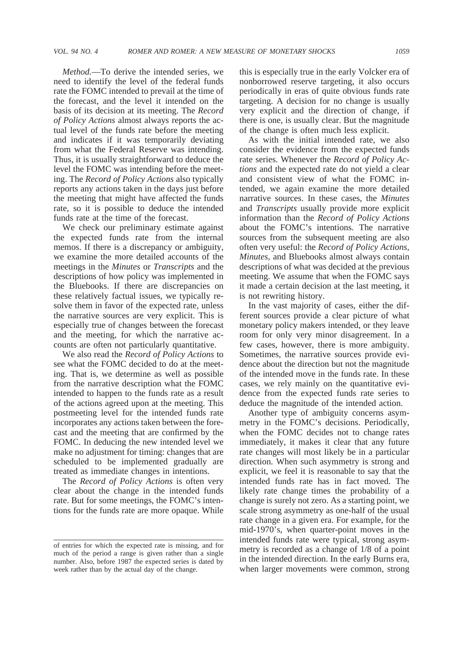*Method.*—To derive the intended series, we need to identify the level of the federal funds rate the FOMC intended to prevail at the time of the forecast, and the level it intended on the basis of its decision at its meeting. The *Record of Policy Actions* almost always reports the actual level of the funds rate before the meeting and indicates if it was temporarily deviating from what the Federal Reserve was intending. Thus, it is usually straightforward to deduce the level the FOMC was intending before the meeting. The *Record of Policy Actions* also typically reports any actions taken in the days just before the meeting that might have affected the funds rate, so it is possible to deduce the intended funds rate at the time of the forecast.

We check our preliminary estimate against the expected funds rate from the internal memos. If there is a discrepancy or ambiguity, we examine the more detailed accounts of the meetings in the *Minutes* or *Transcripts* and the descriptions of how policy was implemented in the Bluebooks. If there are discrepancies on these relatively factual issues, we typically resolve them in favor of the expected rate, unless the narrative sources are very explicit. This is especially true of changes between the forecast and the meeting, for which the narrative accounts are often not particularly quantitative.

We also read the *Record of Policy Actions* to see what the FOMC decided to do at the meeting. That is, we determine as well as possible from the narrative description what the FOMC intended to happen to the funds rate as a result of the actions agreed upon at the meeting. This postmeeting level for the intended funds rate incorporates any actions taken between the forecast and the meeting that are confirmed by the FOMC. In deducing the new intended level we make no adjustment for timing: changes that are scheduled to be implemented gradually are treated as immediate changes in intentions.

The *Record of Policy Actions* is often very clear about the change in the intended funds rate. But for some meetings, the FOMC's intentions for the funds rate are more opaque. While

this is especially true in the early Volcker era of nonborrowed reserve targeting, it also occurs periodically in eras of quite obvious funds rate targeting. A decision for no change is usually very explicit and the direction of change, if there is one, is usually clear. But the magnitude of the change is often much less explicit.

As with the initial intended rate, we also consider the evidence from the expected funds rate series. Whenever the *Record of Policy Actions* and the expected rate do not yield a clear and consistent view of what the FOMC intended, we again examine the more detailed narrative sources. In these cases, the *Minutes* and *Transcripts* usually provide more explicit information than the *Record of Policy Actions* about the FOMC's intentions. The narrative sources from the subsequent meeting are also often very useful: the *Record of Policy Actions, Minutes,* and Bluebooks almost always contain descriptions of what was decided at the previous meeting. We assume that when the FOMC says it made a certain decision at the last meeting, it is not rewriting history.

In the vast majority of cases, either the different sources provide a clear picture of what monetary policy makers intended, or they leave room for only very minor disagreement. In a few cases, however, there is more ambiguity. Sometimes, the narrative sources provide evidence about the direction but not the magnitude of the intended move in the funds rate. In these cases, we rely mainly on the quantitative evidence from the expected funds rate series to deduce the magnitude of the intended action.

Another type of ambiguity concerns asymmetry in the FOMC's decisions. Periodically, when the FOMC decides not to change rates immediately, it makes it clear that any future rate changes will most likely be in a particular direction. When such asymmetry is strong and explicit, we feel it is reasonable to say that the intended funds rate has in fact moved. The likely rate change times the probability of a change is surely not zero. As a starting point, we scale strong asymmetry as one-half of the usual rate change in a given era. For example, for the mid-1970's, when quarter-point moves in the intended funds rate were typical, strong asymmetry is recorded as a change of 1/8 of a point in the intended direction. In the early Burns era, when larger movements were common, strong

of entries for which the expected rate is missing, and for much of the period a range is given rather than a single number. Also, before 1987 the expected series is dated by week rather than by the actual day of the change.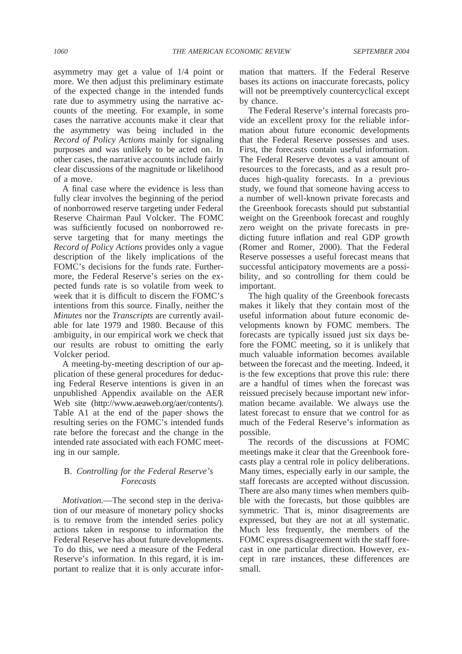asymmetry may get a value of 1/4 point or more. We then adjust this preliminary estimate of the expected change in the intended funds rate due to asymmetry using the narrative accounts of the meeting. For example, in some cases the narrative accounts make it clear that the asymmetry was being included in the *Record of Policy Actions* mainly for signaling purposes and was unlikely to be acted on. In other cases, the narrative accounts include fairly clear discussions of the magnitude or likelihood of a move.

A final case where the evidence is less than fully clear involves the beginning of the period of nonborrowed reserve targeting under Federal Reserve Chairman Paul Volcker. The FOMC was sufficiently focused on nonborrowed reserve targeting that for many meetings the *Record of Policy Actions* provides only a vague description of the likely implications of the FOMC's decisions for the funds rate. Furthermore, the Federal Reserve's series on the expected funds rate is so volatile from week to week that it is difficult to discern the FOMC's intentions from this source. Finally, neither the *Minutes* nor the *Transcripts* are currently available for late 1979 and 1980. Because of this ambiguity, in our empirical work we check that our results are robust to omitting the early Volcker period.

A meeting-by-meeting description of our application of these general procedures for deducing Federal Reserve intentions is given in an unpublished Appendix available on the AER Web site (http://www.aeaweb.org/aer/contents/). Table A1 at the end of the paper shows the resulting series on the FOMC's intended funds rate before the forecast and the change in the intended rate associated with each FOMC meeting in our sample.

## B. *Controlling for the Federal Reserve's Forecasts*

*Motivation.*—The second step in the derivation of our measure of monetary policy shocks is to remove from the intended series policy actions taken in response to information the Federal Reserve has about future developments. To do this, we need a measure of the Federal Reserve's information. In this regard, it is important to realize that it is only accurate information that matters. If the Federal Reserve bases its actions on inaccurate forecasts, policy will not be preemptively countercyclical except by chance.

The Federal Reserve's internal forecasts provide an excellent proxy for the reliable information about future economic developments that the Federal Reserve possesses and uses. First, the forecasts contain useful information. The Federal Reserve devotes a vast amount of resources to the forecasts, and as a result produces high-quality forecasts. In a previous study, we found that someone having access to a number of well-known private forecasts and the Greenbook forecasts should put substantial weight on the Greenbook forecast and roughly zero weight on the private forecasts in predicting future inflation and real GDP growth (Romer and Romer, 2000). That the Federal Reserve possesses a useful forecast means that successful anticipatory movements are a possibility, and so controlling for them could be important.

The high quality of the Greenbook forecasts makes it likely that they contain most of the useful information about future economic developments known by FOMC members. The forecasts are typically issued just six days before the FOMC meeting, so it is unlikely that much valuable information becomes available between the forecast and the meeting. Indeed, it is the few exceptions that prove this rule: there are a handful of times when the forecast was reissued precisely because important new information became available. We always use the latest forecast to ensure that we control for as much of the Federal Reserve's information as possible.

The records of the discussions at FOMC meetings make it clear that the Greenbook forecasts play a central role in policy deliberations. Many times, especially early in our sample, the staff forecasts are accepted without discussion. There are also many times when members quibble with the forecasts, but those quibbles are symmetric. That is, minor disagreements are expressed, but they are not at all systematic. Much less frequently, the members of the FOMC express disagreement with the staff forecast in one particular direction. However, except in rare instances, these differences are small.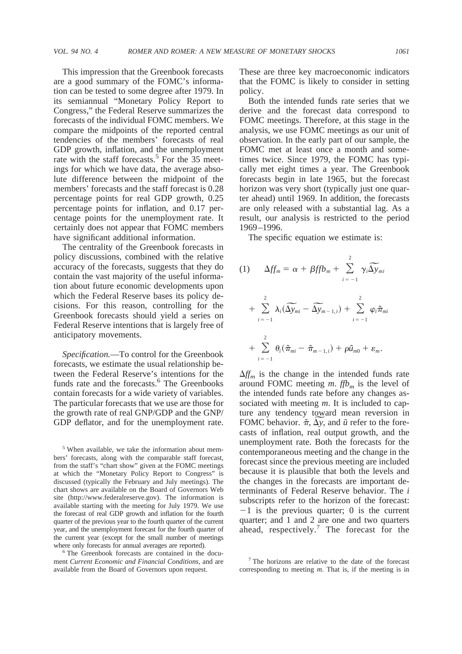This impression that the Greenbook forecasts are a good summary of the FOMC's information can be tested to some degree after 1979. In its semiannual "Monetary Policy Report to Congress," the Federal Reserve summarizes the forecasts of the individual FOMC members. We compare the midpoints of the reported central tendencies of the members' forecasts of real GDP growth, inflation, and the unemployment rate with the staff forecasts.<sup>5</sup> For the 35 meetings for which we have data, the average absolute difference between the midpoint of the members' forecasts and the staff forecast is 0.28 percentage points for real GDP growth, 0.25 percentage points for inflation, and 0.17 percentage points for the unemployment rate. It certainly does not appear that FOMC members have significant additional information.

The centrality of the Greenbook forecasts in policy discussions, combined with the relative accuracy of the forecasts, suggests that they do contain the vast majority of the useful information about future economic developments upon which the Federal Reserve bases its policy decisions. For this reason, controlling for the Greenbook forecasts should yield a series on Federal Reserve intentions that is largely free of anticipatory movements.

*Specification.*—To control for the Greenbook forecasts, we estimate the usual relationship between the Federal Reserve's intentions for the funds rate and the forecasts.<sup>6</sup> The Greenbooks contain forecasts for a wide variety of variables. The particular forecasts that we use are those for the growth rate of real GNP/GDP and the GNP/ GDP deflator, and for the unemployment rate.

<sup>5</sup> When available, we take the information about members' forecasts, along with the comparable staff forecast, from the staff's "chart show" given at the FOMC meetings at which the "Monetary Policy Report to Congress" is discussed (typically the February and July meetings). The chart shows are available on the Board of Governors Web site (http://www.federalreserve.gov). The information is available starting with the meeting for July 1979. We use the forecast of real GDP growth and inflation for the fourth quarter of the previous year to the fourth quarter of the current year, and the unemployment forecast for the fourth quarter of the current year (except for the small number of meetings where only forecasts for annual averages are reported).<br><sup>6</sup> The Greenbook forecasts are contained in the docu-

ment *Current Economic and Financial Conditions,* and are available from the Board of Governors upon request.

These are three key macroeconomic indicators that the FOMC is likely to consider in setting policy.

Both the intended funds rate series that we derive and the forecast data correspond to FOMC meetings. Therefore, at this stage in the analysis, we use FOMC meetings as our unit of observation. In the early part of our sample, the FOMC met at least once a month and sometimes twice. Since 1979, the FOMC has typically met eight times a year. The Greenbook forecasts begin in late 1965, but the forecast horizon was very short (typically just one quarter ahead) until 1969. In addition, the forecasts are only released with a substantial lag. As a result, our analysis is restricted to the period 1969–1996.

The specific equation we estimate is:

(1) 
$$
\Delta f f_m = \alpha + \beta f f b_m + \sum_{i=-1}^{2} \gamma_i \Delta y_{mi}
$$

$$
+ \sum_{i=-1}^{2} \lambda_i (\Delta y_{mi} - \Delta y_{m-1,i}) + \sum_{i=-1}^{2} \varphi_i \tilde{\pi}_{mi}
$$

$$
+ \sum_{i=-1}^{2} \theta_i (\tilde{\pi}_{mi} - \tilde{\pi}_{m-1,i}) + \rho \tilde{u}_{m0} + \varepsilon_m.
$$

 $\Delta f_{m}$  is the change in the intended funds rate around FOMC meeting  $m$ .  $ffb<sub>m</sub>$  is the level of the intended funds rate before any changes associated with meeting *m*. It is included to capture any tendency toward mean reversion in sociated with meeting *i*<br>ture any tendency tow<br>FOMC behavior.  $\tilde{\pi}$ ,  $\tilde{\Delta}$ *y* FOMC behavior.  $\tilde{\pi}$ ,  $\Delta y$ , and  $\tilde{u}$  refer to the forecasts of inflation, real output growth, and the unemployment rate. Both the forecasts for the contemporaneous meeting and the change in the forecast since the previous meeting are included because it is plausible that both the levels and the changes in the forecasts are important determinants of Federal Reserve behavior. The *i* subscripts refer to the horizon of the forecast:  $-1$  is the previous quarter; 0 is the current quarter; and 1 and 2 are one and two quarters ahead, respectively.<sup>7</sup> The forecast for the

 $<sup>7</sup>$  The horizons are relative to the date of the forecast</sup> corresponding to meeting *m*. That is, if the meeting is in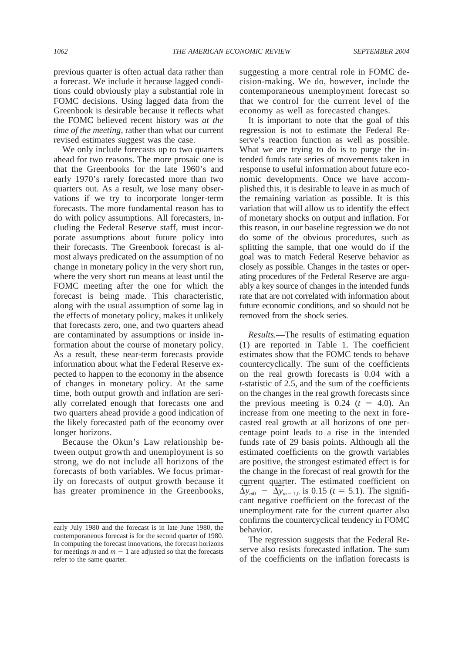previous quarter is often actual data rather than a forecast. We include it because lagged conditions could obviously play a substantial role in FOMC decisions. Using lagged data from the Greenbook is desirable because it reflects what the FOMC believed recent history was *at the time of the meeting,* rather than what our current revised estimates suggest was the case.

We only include forecasts up to two quarters ahead for two reasons. The more prosaic one is that the Greenbooks for the late 1960's and early 1970's rarely forecasted more than two quarters out. As a result, we lose many observations if we try to incorporate longer-term forecasts. The more fundamental reason has to do with policy assumptions. All forecasters, including the Federal Reserve staff, must incorporate assumptions about future policy into their forecasts. The Greenbook forecast is almost always predicated on the assumption of no change in monetary policy in the very short run, where the very short run means at least until the FOMC meeting after the one for which the forecast is being made. This characteristic, along with the usual assumption of some lag in the effects of monetary policy, makes it unlikely that forecasts zero, one, and two quarters ahead are contaminated by assumptions or inside information about the course of monetary policy. As a result, these near-term forecasts provide information about what the Federal Reserve expected to happen to the economy in the absence of changes in monetary policy. At the same time, both output growth and inflation are serially correlated enough that forecasts one and two quarters ahead provide a good indication of the likely forecasted path of the economy over longer horizons.

Because the Okun's Law relationship between output growth and unemployment is so strong, we do not include all horizons of the forecasts of both variables. We focus primarily on forecasts of output growth because it has greater prominence in the Greenbooks, suggesting a more central role in FOMC decision-making. We do, however, include the contemporaneous unemployment forecast so that we control for the current level of the economy as well as forecasted changes.

It is important to note that the goal of this regression is not to estimate the Federal Reserve's reaction function as well as possible. What we are trying to do is to purge the intended funds rate series of movements taken in response to useful information about future economic developments. Once we have accomplished this, it is desirable to leave in as much of the remaining variation as possible. It is this variation that will allow us to identify the effect of monetary shocks on output and inflation. For this reason, in our baseline regression we do not do some of the obvious procedures, such as splitting the sample, that one would do if the goal was to match Federal Reserve behavior as closely as possible. Changes in the tastes or operating procedures of the Federal Reserve are arguably a key source of changes in the intended funds rate that are not correlated with information about future economic conditions, and so should not be removed from the shock series.

*Results.*—The results of estimating equation (1) are reported in Table 1. The coefficient estimates show that the FOMC tends to behave countercyclically. The sum of the coefficients on the real growth forecasts is 0.04 with a *t*-statistic of 2.5, and the sum of the coefficients on the changes in the real growth forecasts since the previous meeting is  $0.24$  ( $t = 4.0$ ). An increase from one meeting to the next in forecasted real growth at all horizons of one percentage point leads to a rise in the intended funds rate of 29 basis points. Although all the estimated coefficients on the growth variables are positive, the strongest estimated effect is for the change in the forecast of real growth for the the change in the forecast of real growth for the current quarter. The estimated coefficient on  $\Delta y_{m0} - \Delta y_{m-1,0}$  is 0.15 (*t* = 5.1). The significant negative coefficient on the forecast of the unemployment rate for the current quarter also confirms the countercyclical tendency in FOMC behavior.

The regression suggests that the Federal Reserve also resists forecasted inflation. The sum of the coefficients on the inflation forecasts is

early July 1980 and the forecast is in late June 1980, the contemporaneous forecast is for the second quarter of 1980. In computing the forecast innovations, the forecast horizons for meetings  $m$  and  $m - 1$  are adjusted so that the forecasts refer to the same quarter.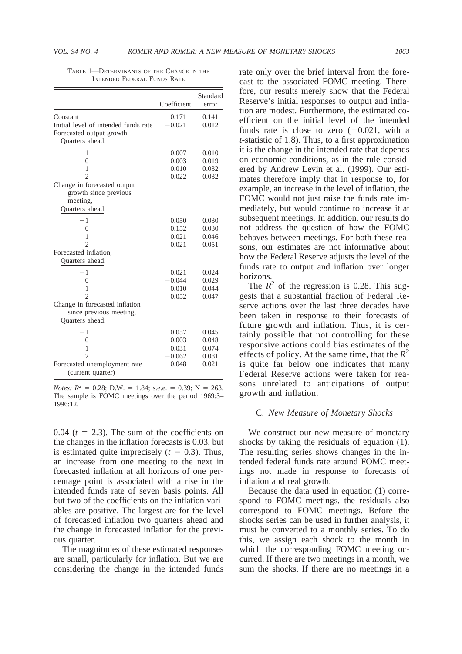| TABLE 1-DETERMINANTS OF THE CHANGE IN THE |  |  |  |
|-------------------------------------------|--|--|--|
| INTENDED FEDERAL FUNDS RATE               |  |  |  |

|                                      | Coefficient | Standard<br>error |
|--------------------------------------|-------------|-------------------|
| Constant                             | 0.171       | 0.141             |
| Initial level of intended funds rate | $-0.021$    | 0.012             |
| Forecasted output growth,            |             |                   |
| <b>Ouarters</b> ahead:               |             |                   |
| $-1$                                 | 0.007       | 0.010             |
| $\Omega$                             | 0.003       | 0.019             |
| 1                                    | 0.010       | 0.032             |
| $\mathfrak{D}$                       | 0.022       | 0.032             |
| Change in forecasted output          |             |                   |
| growth since previous                |             |                   |
| meeting,                             |             |                   |
| Quarters ahead:                      |             |                   |
| $-1$                                 | 0.050       | 0.030             |
| $\theta$                             | 0.152       | 0.030             |
| 1                                    | 0.021       | 0.046             |
| $\mathfrak{D}$                       | 0.021       | 0.051             |
| Forecasted inflation.                |             |                   |
| Quarters ahead:                      |             |                   |
| $-1$                                 | 0.021       | 0.024             |
| $\theta$                             | $-0.044$    | 0.029             |
| 1                                    | 0.010       | 0.044             |
| $\overline{2}$                       | 0.052       | 0.047             |
| Change in forecasted inflation       |             |                   |
| since previous meeting,              |             |                   |
| Quarters ahead:                      |             |                   |
| $-1$                                 | 0.057       | 0.045             |
| $\Omega$                             | 0.003       | 0.048             |
| 1                                    | 0.031       | 0.074             |
| $\mathfrak{D}$                       | $-0.062$    | 0.081             |
| Forecasted unemployment rate         | $-0.048$    | 0.021             |
| (current quarter)                    |             |                   |

*Notes:*  $R^2 = 0.28$ ; D.W. = 1.84; s.e.e. = 0.39; N = 263. The sample is FOMC meetings over the period 1969:3– 1996:12.

 $0.04$  ( $t = 2.3$ ). The sum of the coefficients on the changes in the inflation forecasts is 0.03, but is estimated quite imprecisely  $(t = 0.3)$ . Thus, an increase from one meeting to the next in forecasted inflation at all horizons of one percentage point is associated with a rise in the intended funds rate of seven basis points. All but two of the coefficients on the inflation variables are positive. The largest are for the level of forecasted inflation two quarters ahead and the change in forecasted inflation for the previous quarter.

The magnitudes of these estimated responses are small, particularly for inflation. But we are considering the change in the intended funds

rate only over the brief interval from the forecast to the associated FOMC meeting. Therefore, our results merely show that the Federal Reserve's initial responses to output and inflation are modest. Furthermore, the estimated coefficient on the initial level of the intended funds rate is close to zero  $(-0.021, \text{ with a})$ *t*-statistic of 1.8). Thus, to a first approximation it is the change in the intended rate that depends on economic conditions, as in the rule considered by Andrew Levin et al. (1999). Our estimates therefore imply that in response to, for example, an increase in the level of inflation, the FOMC would not just raise the funds rate immediately, but would continue to increase it at subsequent meetings. In addition, our results do not address the question of how the FOMC behaves between meetings. For both these reasons, our estimates are not informative about how the Federal Reserve adjusts the level of the funds rate to output and inflation over longer horizons.

The  $R^2$  of the regression is 0.28. This suggests that a substantial fraction of Federal Reserve actions over the last three decades have been taken in response to their forecasts of future growth and inflation. Thus, it is certainly possible that not controlling for these responsive actions could bias estimates of the effects of policy. At the same time, that the  $R^2$ is quite far below one indicates that many Federal Reserve actions were taken for reasons unrelated to anticipations of output growth and inflation.

#### C. *New Measure of Monetary Shocks*

We construct our new measure of monetary shocks by taking the residuals of equation (1). The resulting series shows changes in the intended federal funds rate around FOMC meetings not made in response to forecasts of inflation and real growth.

Because the data used in equation (1) correspond to FOMC meetings, the residuals also correspond to FOMC meetings. Before the shocks series can be used in further analysis, it must be converted to a monthly series. To do this, we assign each shock to the month in which the corresponding FOMC meeting occurred. If there are two meetings in a month, we sum the shocks. If there are no meetings in a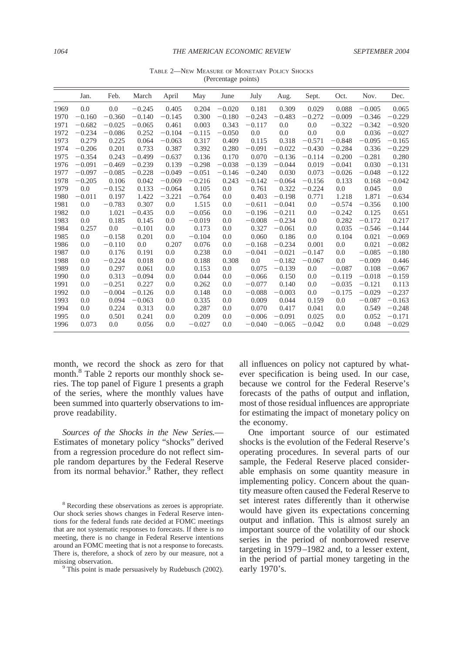|      | Jan.     | Feb.     | March    | April    | May      | June     | July     | Aug.     | Sept.    | Oct.     | Nov.     | Dec.     |
|------|----------|----------|----------|----------|----------|----------|----------|----------|----------|----------|----------|----------|
| 1969 | 0.0      | 0.0      | $-0.245$ | 0.405    | 0.204    | $-0.020$ | 0.181    | 0.309    | 0.029    | 0.088    | $-0.005$ | 0.065    |
| 1970 | $-0.160$ | $-0.360$ | $-0.140$ | $-0.145$ | 0.300    | $-0.180$ | $-0.243$ | $-0.483$ | $-0.272$ | $-0.009$ | $-0.346$ | $-0.229$ |
| 1971 | $-0.682$ | $-0.025$ | $-0.065$ | 0.461    | 0.003    | 0.343    | $-0.117$ | 0.0      | 0.0      | $-0.322$ | $-0.342$ | $-0.920$ |
| 1972 | $-0.234$ | $-0.086$ | 0.252    | $-0.104$ | $-0.115$ | $-0.050$ | 0.0      | 0.0      | 0.0      | 0.0      | 0.036    | $-0.027$ |
| 1973 | 0.279    | 0.225    | 0.064    | $-0.063$ | 0.317    | 0.409    | 0.115    | 0.318    | $-0.571$ | $-0.848$ | $-0.095$ | $-0.165$ |
| 1974 | $-0.206$ | 0.201    | 0.733    | 0.387    | 0.392    | 0.280    | $-0.091$ | $-0.022$ | $-0.430$ | $-0.284$ | 0.336    | $-0.229$ |
| 1975 | $-0.354$ | 0.243    | $-0.499$ | $-0.637$ | 0.136    | 0.170    | 0.070    | $-0.136$ | $-0.114$ | $-0.200$ | $-0.281$ | 0.280    |
| 1976 | $-0.091$ | $-0.469$ | $-0.239$ | 0.139    | $-0.298$ | $-0.038$ | $-0.139$ | $-0.044$ | 0.019    | $-0.041$ | 0.030    | $-0.131$ |
| 1977 | $-0.097$ | $-0.085$ | $-0.228$ | $-0.049$ | $-0.051$ | $-0.146$ | $-0.240$ | 0.030    | 0.073    | $-0.026$ | $-0.048$ | $-0.122$ |
| 1978 | $-0.205$ | 0.106    | 0.042    | $-0.069$ | $-0.216$ | 0.243    | $-0.142$ | $-0.064$ | $-0.156$ | 0.133    | 0.168    | $-0.042$ |
| 1979 | 0.0      | $-0.152$ | 0.133    | $-0.064$ | 0.105    | 0.0      | 0.761    | 0.322    | $-0.224$ | 0.0      | 0.045    | 0.0      |
| 1980 | $-0.011$ | 0.197    | 1.422    | $-3.221$ | $-0.764$ | 0.0      | 0.403    | $-0.198$ | 0.771    | 1.218    | 1.871    | $-0.634$ |
| 1981 | 0.0      | $-0.783$ | 0.307    | 0.0      | 1.515    | 0.0      | $-0.611$ | $-0.041$ | 0.0      | $-0.574$ | $-0.356$ | 0.100    |
| 1982 | 0.0      | 1.021    | $-0.435$ | 0.0      | $-0.056$ | 0.0      | $-0.196$ | $-0.211$ | 0.0      | $-0.242$ | 0.125    | 0.651    |
| 1983 | 0.0      | 0.185    | 0.145    | 0.0      | $-0.019$ | 0.0      | $-0.008$ | $-0.234$ | 0.0      | 0.282    | $-0.172$ | 0.217    |
| 1984 | 0.257    | 0.0      | $-0.101$ | 0.0      | 0.173    | 0.0      | 0.327    | $-0.061$ | 0.0      | 0.035    | $-0.546$ | $-0.144$ |
| 1985 | 0.0      | $-0.158$ | 0.201    | 0.0      | $-0.104$ | 0.0      | 0.060    | 0.186    | 0.0      | 0.104    | 0.021    | $-0.069$ |
| 1986 | 0.0      | $-0.110$ | 0.0      | 0.207    | 0.076    | 0.0      | $-0.168$ | $-0.234$ | 0.001    | 0.0      | 0.021    | $-0.082$ |
| 1987 | 0.0      | 0.176    | 0.191    | 0.0      | 0.238    | 0.0      | $-0.041$ | $-0.021$ | $-0.147$ | 0.0      | $-0.085$ | $-0.180$ |
| 1988 | 0.0      | $-0.224$ | 0.018    | 0.0      | 0.188    | 0.308    | 0.0      | $-0.182$ | $-0.067$ | 0.0      | $-0.009$ | 0.446    |
| 1989 | 0.0      | 0.297    | 0.061    | 0.0      | 0.153    | 0.0      | 0.075    | $-0.139$ | 0.0      | $-0.087$ | 0.108    | $-0.067$ |
| 1990 | 0.0      | 0.313    | $-0.094$ | 0.0      | 0.044    | 0.0      | $-0.066$ | 0.150    | 0.0      | $-0.119$ | $-0.018$ | $-0.159$ |
| 1991 | 0.0      | $-0.251$ | 0.227    | 0.0      | 0.262    | 0.0      | $-0.077$ | 0.140    | 0.0      | $-0.035$ | $-0.121$ | 0.113    |
| 1992 | 0.0      | $-0.004$ | $-0.126$ | 0.0      | 0.148    | 0.0      | $-0.088$ | $-0.003$ | 0.0      | $-0.175$ | $-0.029$ | $-0.237$ |
| 1993 | 0.0      | 0.094    | $-0.063$ | 0.0      | 0.335    | 0.0      | 0.009    | 0.044    | 0.159    | 0.0      | $-0.087$ | $-0.163$ |
| 1994 | 0.0      | 0.224    | 0.313    | 0.0      | 0.287    | 0.0      | 0.070    | 0.417    | 0.041    | 0.0      | 0.549    | $-0.248$ |
| 1995 | 0.0      | 0.501    | 0.241    | 0.0      | 0.209    | 0.0      | $-0.006$ | $-0.091$ | 0.025    | 0.0      | 0.052    | $-0.171$ |
| 1996 | 0.073    | 0.0      | 0.056    | 0.0      | $-0.027$ | 0.0      | $-0.040$ | $-0.065$ | $-0.042$ | 0.0      | 0.048    | $-0.029$ |
|      |          |          |          |          |          |          |          |          |          |          |          |          |

TABLE 2—NEW MEASURE OF MONETARY POLICY SHOCKS (Percentage points)

month, we record the shock as zero for that month.<sup>8</sup> Table 2 reports our monthly shock series. The top panel of Figure 1 presents a graph of the series, where the monthly values have been summed into quarterly observations to improve readability.

*Sources of the Shocks in the New Series.*— Estimates of monetary policy "shocks" derived from a regression procedure do not reflect simple random departures by the Federal Reserve from its normal behavior.<sup>9</sup> Rather, they reflect all influences on policy not captured by whatever specification is being used. In our case, because we control for the Federal Reserve's forecasts of the paths of output and inflation, most of those residual influences are appropriate for estimating the impact of monetary policy on the economy.

One important source of our estimated shocks is the evolution of the Federal Reserve's operating procedures. In several parts of our sample, the Federal Reserve placed considerable emphasis on some quantity measure in implementing policy. Concern about the quantity measure often caused the Federal Reserve to set interest rates differently than it otherwise would have given its expectations concerning output and inflation. This is almost surely an important source of the volatility of our shock series in the period of nonborrowed reserve targeting in 1979–1982 and, to a lesser extent, in the period of partial money targeting in the early 1970's.

<sup>8</sup> Recording these observations as zeroes is appropriate. Our shock series shows changes in Federal Reserve intentions for the federal funds rate decided at FOMC meetings that are not systematic responses to forecasts. If there is no meeting, there is no change in Federal Reserve intentions around an FOMC meeting that is not a response to forecasts. There is, therefore, a shock of zero by our measure, not a missing observation.<br><sup>9</sup> This point is made persuasively by Rudebusch (2002).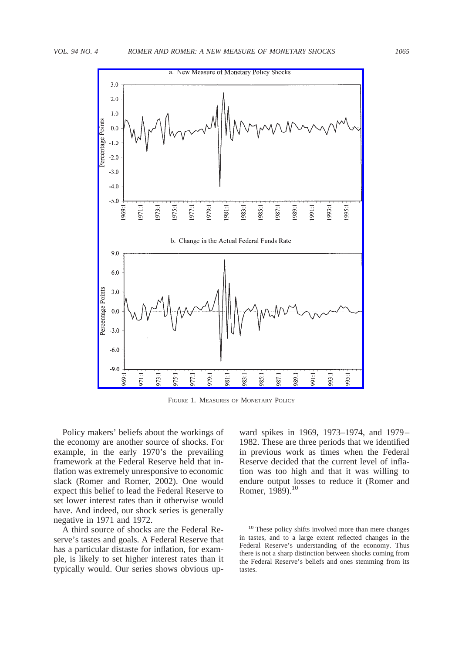

FIGURE 1. MEASURES OF MONETARY POLICY

Policy makers' beliefs about the workings of the economy are another source of shocks. For example, in the early 1970's the prevailing framework at the Federal Reserve held that inflation was extremely unresponsive to economic slack (Romer and Romer, 2002). One would expect this belief to lead the Federal Reserve to set lower interest rates than it otherwise would have. And indeed, our shock series is generally negative in 1971 and 1972.

A third source of shocks are the Federal Reserve's tastes and goals. A Federal Reserve that has a particular distaste for inflation, for example, is likely to set higher interest rates than it typically would. Our series shows obvious upward spikes in 1969, 1973–1974, and 1979– 1982. These are three periods that we identified in previous work as times when the Federal Reserve decided that the current level of inflation was too high and that it was willing to endure output losses to reduce it (Romer and Romer, 1989). $^{10}$ 

<sup>10</sup> These policy shifts involved more than mere changes in tastes, and to a large extent reflected changes in the Federal Reserve's understanding of the economy. Thus there is not a sharp distinction between shocks coming from the Federal Reserve's beliefs and ones stemming from its tastes.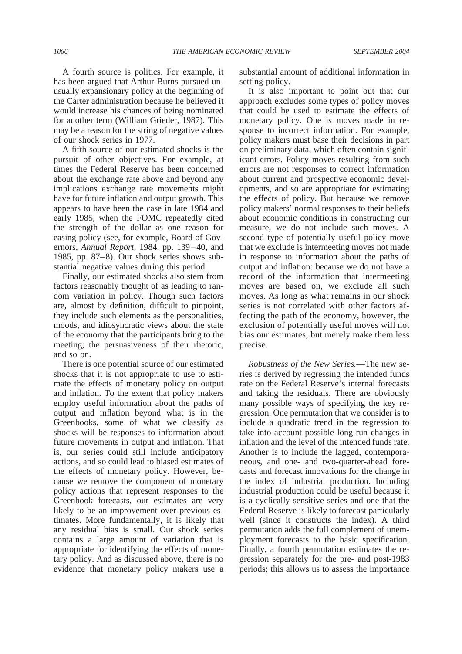A fourth source is politics. For example, it has been argued that Arthur Burns pursued unusually expansionary policy at the beginning of the Carter administration because he believed it would increase his chances of being nominated for another term (William Grieder, 1987). This may be a reason for the string of negative values of our shock series in 1977.

A fifth source of our estimated shocks is the pursuit of other objectives. For example, at times the Federal Reserve has been concerned about the exchange rate above and beyond any implications exchange rate movements might have for future inflation and output growth. This appears to have been the case in late 1984 and early 1985, when the FOMC repeatedly cited the strength of the dollar as one reason for easing policy (see, for example, Board of Governors, *Annual Report,* 1984, pp. 139–40, and 1985, pp. 87–8). Our shock series shows substantial negative values during this period.

Finally, our estimated shocks also stem from factors reasonably thought of as leading to random variation in policy. Though such factors are, almost by definition, difficult to pinpoint, they include such elements as the personalities, moods, and idiosyncratic views about the state of the economy that the participants bring to the meeting, the persuasiveness of their rhetoric, and so on.

There is one potential source of our estimated shocks that it is not appropriate to use to estimate the effects of monetary policy on output and inflation. To the extent that policy makers employ useful information about the paths of output and inflation beyond what is in the Greenbooks, some of what we classify as shocks will be responses to information about future movements in output and inflation. That is, our series could still include anticipatory actions, and so could lead to biased estimates of the effects of monetary policy. However, because we remove the component of monetary policy actions that represent responses to the Greenbook forecasts, our estimates are very likely to be an improvement over previous estimates. More fundamentally, it is likely that any residual bias is small. Our shock series contains a large amount of variation that is appropriate for identifying the effects of monetary policy. And as discussed above, there is no evidence that monetary policy makers use a substantial amount of additional information in setting policy.

It is also important to point out that our approach excludes some types of policy moves that could be used to estimate the effects of monetary policy. One is moves made in response to incorrect information. For example, policy makers must base their decisions in part on preliminary data, which often contain significant errors. Policy moves resulting from such errors are not responses to correct information about current and prospective economic developments, and so are appropriate for estimating the effects of policy. But because we remove policy makers' normal responses to their beliefs about economic conditions in constructing our measure, we do not include such moves. A second type of potentially useful policy move that we exclude is intermeeting moves not made in response to information about the paths of output and inflation: because we do not have a record of the information that intermeeting moves are based on, we exclude all such moves. As long as what remains in our shock series is not correlated with other factors affecting the path of the economy, however, the exclusion of potentially useful moves will not bias our estimates, but merely make them less precise.

*Robustness of the New Series.*—The new series is derived by regressing the intended funds rate on the Federal Reserve's internal forecasts and taking the residuals. There are obviously many possible ways of specifying the key regression. One permutation that we consider is to include a quadratic trend in the regression to take into account possible long-run changes in inflation and the level of the intended funds rate. Another is to include the lagged, contemporaneous, and one- and two-quarter-ahead forecasts and forecast innovations for the change in the index of industrial production. Including industrial production could be useful because it is a cyclically sensitive series and one that the Federal Reserve is likely to forecast particularly well (since it constructs the index). A third permutation adds the full complement of unemployment forecasts to the basic specification. Finally, a fourth permutation estimates the regression separately for the pre- and post-1983 periods; this allows us to assess the importance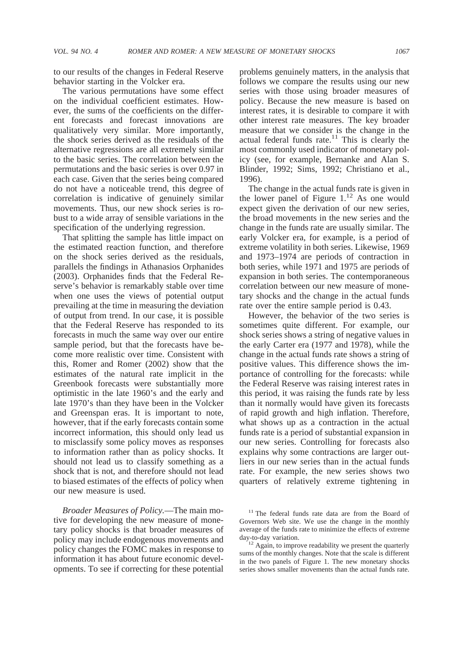to our results of the changes in Federal Reserve behavior starting in the Volcker era.

The various permutations have some effect on the individual coefficient estimates. However, the sums of the coefficients on the different forecasts and forecast innovations are qualitatively very similar. More importantly, the shock series derived as the residuals of the alternative regressions are all extremely similar to the basic series. The correlation between the permutations and the basic series is over 0.97 in each case. Given that the series being compared do not have a noticeable trend, this degree of correlation is indicative of genuinely similar movements. Thus, our new shock series is robust to a wide array of sensible variations in the specification of the underlying regression.

That splitting the sample has little impact on the estimated reaction function, and therefore on the shock series derived as the residuals, parallels the findings in Athanasios Orphanides (2003). Orphanides finds that the Federal Reserve's behavior is remarkably stable over time when one uses the views of potential output prevailing at the time in measuring the deviation of output from trend. In our case, it is possible that the Federal Reserve has responded to its forecasts in much the same way over our entire sample period, but that the forecasts have become more realistic over time. Consistent with this, Romer and Romer (2002) show that the estimates of the natural rate implicit in the Greenbook forecasts were substantially more optimistic in the late 1960's and the early and late 1970's than they have been in the Volcker and Greenspan eras. It is important to note, however, that if the early forecasts contain some incorrect information, this should only lead us to misclassify some policy moves as responses to information rather than as policy shocks. It should not lead us to classify something as a shock that is not, and therefore should not lead to biased estimates of the effects of policy when our new measure is used.

*Broader Measures of Policy.*—The main motive for developing the new measure of monetary policy shocks is that broader measures of policy may include endogenous movements and policy changes the FOMC makes in response to information it has about future economic developments. To see if correcting for these potential

problems genuinely matters, in the analysis that follows we compare the results using our new series with those using broader measures of policy. Because the new measure is based on interest rates, it is desirable to compare it with other interest rate measures. The key broader measure that we consider is the change in the actual federal funds rate.<sup>11</sup> This is clearly the most commonly used indicator of monetary policy (see, for example, Bernanke and Alan S. Blinder, 1992; Sims, 1992; Christiano et al., 1996).

The change in the actual funds rate is given in the lower panel of Figure 1.<sup>12</sup> As one would expect given the derivation of our new series, the broad movements in the new series and the change in the funds rate are usually similar. The early Volcker era, for example, is a period of extreme volatility in both series. Likewise, 1969 and 1973–1974 are periods of contraction in both series, while 1971 and 1975 are periods of expansion in both series. The contemporaneous correlation between our new measure of monetary shocks and the change in the actual funds rate over the entire sample period is 0.43.

However, the behavior of the two series is sometimes quite different. For example, our shock series shows a string of negative values in the early Carter era (1977 and 1978), while the change in the actual funds rate shows a string of positive values. This difference shows the importance of controlling for the forecasts: while the Federal Reserve was raising interest rates in this period, it was raising the funds rate by less than it normally would have given its forecasts of rapid growth and high inflation. Therefore, what shows up as a contraction in the actual funds rate is a period of substantial expansion in our new series. Controlling for forecasts also explains why some contractions are larger outliers in our new series than in the actual funds rate. For example, the new series shows two quarters of relatively extreme tightening in

<sup>&</sup>lt;sup>11</sup> The federal funds rate data are from the Board of Governors Web site. We use the change in the monthly average of the funds rate to minimize the effects of extreme day-to-day variation.<br><sup>12</sup> Again, to improve readability we present the quarterly

sums of the monthly changes. Note that the scale is different in the two panels of Figure 1. The new monetary shocks series shows smaller movements than the actual funds rate.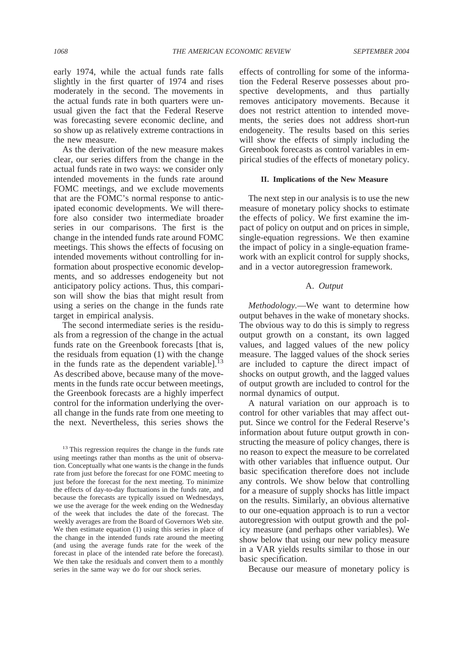early 1974, while the actual funds rate falls slightly in the first quarter of 1974 and rises moderately in the second. The movements in the actual funds rate in both quarters were unusual given the fact that the Federal Reserve was forecasting severe economic decline, and so show up as relatively extreme contractions in the new measure.

As the derivation of the new measure makes clear, our series differs from the change in the actual funds rate in two ways: we consider only intended movements in the funds rate around FOMC meetings, and we exclude movements that are the FOMC's normal response to anticipated economic developments. We will therefore also consider two intermediate broader series in our comparisons. The first is the change in the intended funds rate around FOMC meetings. This shows the effects of focusing on intended movements without controlling for information about prospective economic developments, and so addresses endogeneity but not anticipatory policy actions. Thus, this comparison will show the bias that might result from using a series on the change in the funds rate target in empirical analysis.

The second intermediate series is the residuals from a regression of the change in the actual funds rate on the Greenbook forecasts [that is, the residuals from equation (1) with the change in the funds rate as the dependent variable]. $^{13}$ As described above, because many of the movements in the funds rate occur between meetings, the Greenbook forecasts are a highly imperfect control for the information underlying the overall change in the funds rate from one meeting to the next. Nevertheless, this series shows the

<sup>13</sup> This regression requires the change in the funds rate using meetings rather than months as the unit of observation. Conceptually what one wants is the change in the funds rate from just before the forecast for one FOMC meeting to just before the forecast for the next meeting. To minimize the effects of day-to-day fluctuations in the funds rate, and because the forecasts are typically issued on Wednesdays, we use the average for the week ending on the Wednesday of the week that includes the date of the forecast. The weekly averages are from the Board of Governors Web site. We then estimate equation (1) using this series in place of the change in the intended funds rate around the meeting (and using the average funds rate for the week of the forecast in place of the intended rate before the forecast). We then take the residuals and convert them to a monthly series in the same way we do for our shock series.

effects of controlling for some of the information the Federal Reserve possesses about prospective developments, and thus partially removes anticipatory movements. Because it does not restrict attention to intended movements, the series does not address short-run endogeneity. The results based on this series will show the effects of simply including the Greenbook forecasts as control variables in empirical studies of the effects of monetary policy.

#### **II. Implications of the New Measure**

The next step in our analysis is to use the new measure of monetary policy shocks to estimate the effects of policy. We first examine the impact of policy on output and on prices in simple, single-equation regressions. We then examine the impact of policy in a single-equation framework with an explicit control for supply shocks, and in a vector autoregression framework.

## A. *Output*

*Methodology.*—We want to determine how output behaves in the wake of monetary shocks. The obvious way to do this is simply to regress output growth on a constant, its own lagged values, and lagged values of the new policy measure. The lagged values of the shock series are included to capture the direct impact of shocks on output growth, and the lagged values of output growth are included to control for the normal dynamics of output.

A natural variation on our approach is to control for other variables that may affect output. Since we control for the Federal Reserve's information about future output growth in constructing the measure of policy changes, there is no reason to expect the measure to be correlated with other variables that influence output. Our basic specification therefore does not include any controls. We show below that controlling for a measure of supply shocks has little impact on the results. Similarly, an obvious alternative to our one-equation approach is to run a vector autoregression with output growth and the policy measure (and perhaps other variables). We show below that using our new policy measure in a VAR yields results similar to those in our basic specification.

Because our measure of monetary policy is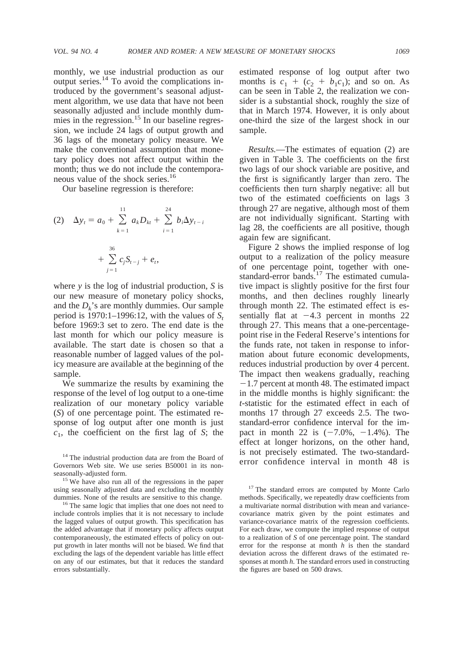monthly, we use industrial production as our output series.14 To avoid the complications introduced by the government's seasonal adjustment algorithm, we use data that have not been seasonally adjusted and include monthly dummies in the regression.<sup>15</sup> In our baseline regression, we include 24 lags of output growth and 36 lags of the monetary policy measure. We make the conventional assumption that monetary policy does not affect output within the month; thus we do not include the contemporaneous value of the shock series.16

Our baseline regression is therefore:

(2) 
$$
\Delta y_t = a_0 + \sum_{k=1}^{11} a_k D_{kt} + \sum_{i=1}^{24} b_i \Delta y_{t-i} + \sum_{j=1}^{36} c_j S_{t-j} + e_t,
$$

where *y* is the log of industrial production, *S* is our new measure of monetary policy shocks, and the  $D_k$ 's are monthly dummies. Our sample period is  $1970:1-1996:12$ , with the values of  $S_t$ before 1969:3 set to zero. The end date is the last month for which our policy measure is available. The start date is chosen so that a reasonable number of lagged values of the policy measure are available at the beginning of the sample.

We summarize the results by examining the response of the level of log output to a one-time realization of our monetary policy variable (*S*) of one percentage point. The estimated response of log output after one month is just *c*1, the coefficient on the first lag of *S*; the

estimated response of log output after two months is  $c_1 + (c_2 + b_1c_1)$ ; and so on. As can be seen in Table 2, the realization we consider is a substantial shock, roughly the size of that in March 1974. However, it is only about one-third the size of the largest shock in our sample.

*Results.*—The estimates of equation (2) are given in Table 3. The coefficients on the first two lags of our shock variable are positive, and the first is significantly larger than zero. The coefficients then turn sharply negative: all but two of the estimated coefficients on lags 3 through 27 are negative, although most of them are not individually significant. Starting with lag 28, the coefficients are all positive, though again few are significant.

Figure 2 shows the implied response of log output to a realization of the policy measure of one percentage point, together with onestandard-error bands.<sup>17</sup> The estimated cumulative impact is slightly positive for the first four months, and then declines roughly linearly through month 22. The estimated effect is essentially flat at  $-4.3$  percent in months 22 through 27. This means that a one-percentagepoint rise in the Federal Reserve's intentions for the funds rate, not taken in response to information about future economic developments, reduces industrial production by over 4 percent. The impact then weakens gradually, reaching  $-1.7$  percent at month 48. The estimated impact in the middle months is highly significant: the *t*-statistic for the estimated effect in each of months 17 through 27 exceeds 2.5. The twostandard-error confidence interval for the impact in month 22 is  $(-7.0\%, -1.4\%)$ . The effect at longer horizons, on the other hand, is not precisely estimated. The two-standard-<sup>14</sup> The industrial production data are from the Board of  $\frac{12}{100}$  The process  $\frac{12}{100}$  Confidence interval in month 48 is

Governors Web site. We use series B50001 in its nonseasonally-adjusted form. <sup>15</sup> We have also run all of the regressions in the paper

using seasonally adjusted data and excluding the monthly dummies. None of the results are sensitive to this change. <sup>16</sup> The same logic that implies that one does not need to

include controls implies that it is not necessary to include the lagged values of output growth. This specification has the added advantage that if monetary policy affects output contemporaneously, the estimated effects of policy on output growth in later months will not be biased. We find that excluding the lags of the dependent variable has little effect on any of our estimates, but that it reduces the standard errors substantially.

<sup>&</sup>lt;sup>17</sup> The standard errors are computed by Monte Carlo methods. Specifically, we repeatedly draw coefficients from a multivariate normal distribution with mean and variancecovariance matrix given by the point estimates and variance-covariance matrix of the regression coefficients. For each draw, we compute the implied response of output to a realization of *S* of one percentage point. The standard error for the response at month *h* is then the standard deviation across the different draws of the estimated responses at month *h*. The standard errors used in constructing the figures are based on 500 draws.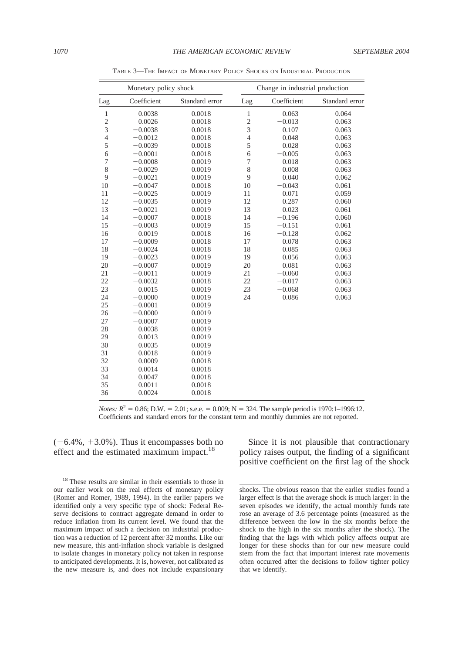|                  | Monetary policy shock |                | Change in industrial production |             |                |  |  |
|------------------|-----------------------|----------------|---------------------------------|-------------|----------------|--|--|
| Lag              | Coefficient           | Standard error | Lag                             | Coefficient | Standard error |  |  |
| $\mathbf{1}$     | 0.0038                | 0.0018         | $\mathbf{1}$                    | 0.063       | 0.064          |  |  |
| $\boldsymbol{2}$ | 0.0026                | 0.0018         | $\mathfrak{2}$                  | $-0.013$    | 0.063          |  |  |
| 3                | $-0.0038$             | 0.0018         | 3                               | 0.107       | 0.063          |  |  |
| $\overline{4}$   | $-0.0012$             | 0.0018         | $\overline{4}$                  | 0.048       | 0.063          |  |  |
| 5                | $-0.0039$             | 0.0018         | 5                               | 0.028       | 0.063          |  |  |
| 6                | $-0.0001$             | 0.0018         | 6                               | $-0.005$    | 0.063          |  |  |
| 7                | $-0.0008$             | 0.0019         | $\tau$                          | 0.018       | 0.063          |  |  |
| 8                | $-0.0029$             | 0.0019         | 8                               | 0.008       | 0.063          |  |  |
| 9                | $-0.0021$             | 0.0019         | 9                               | 0.040       | 0.062          |  |  |
| 10               | $-0.0047$             | 0.0018         | 10                              | $-0.043$    | 0.061          |  |  |
| 11               | $-0.0025$             | 0.0019         | 11                              | 0.071       | 0.059          |  |  |
| 12               | $-0.0035$             | 0.0019         | 12                              | 0.287       | 0.060          |  |  |
| 13               | $-0.0021$             | 0.0019         | 13                              | 0.023       | 0.061          |  |  |
| 14               | $-0.0007$             | 0.0018         | 14                              | $-0.196$    | 0.060          |  |  |
| 15               | $-0.0003$             | 0.0019         | 15                              | $-0.151$    | 0.061          |  |  |
| 16               | 0.0019                | 0.0018         | 16                              | $-0.128$    | 0.062          |  |  |
| 17               | $-0.0009$             | 0.0018         | 17                              | 0.078       | 0.063          |  |  |
| 18               | $-0.0024$             | 0.0018         | 18                              | 0.085       | 0.063          |  |  |
| 19               | $-0.0023$             | 0.0019         | 19                              | 0.056       | 0.063          |  |  |
| 20               | $-0.0007$             | 0.0019         | 20                              | 0.081       | 0.063          |  |  |
| 21               | $-0.0011$             | 0.0019         | 21                              | $-0.060$    | 0.063          |  |  |
| 22               | $-0.0032$             | 0.0018         | 22                              | $-0.017$    | 0.063          |  |  |
| 23               | 0.0015                | 0.0019         | 23                              | $-0.068$    | 0.063          |  |  |
| 24               | $-0.0000$             | 0.0019         | 24                              | 0.086       | 0.063          |  |  |
| 25               | $-0.0001$             | 0.0019         |                                 |             |                |  |  |
| 26               | $-0.0000$             | 0.0019         |                                 |             |                |  |  |
| 27               | $-0.0007$             | 0.0019         |                                 |             |                |  |  |
| 28               | 0.0038                | 0.0019         |                                 |             |                |  |  |
| 29               | 0.0013                | 0.0019         |                                 |             |                |  |  |
| 30               | 0.0035                | 0.0019         |                                 |             |                |  |  |
| 31               | 0.0018                | 0.0019         |                                 |             |                |  |  |
| 32               | 0.0009                | 0.0018         |                                 |             |                |  |  |
| 33               | 0.0014                | 0.0018         |                                 |             |                |  |  |
| 34               | 0.0047                | 0.0018         |                                 |             |                |  |  |
| 35               | 0.0011                | 0.0018         |                                 |             |                |  |  |
| 36               | 0.0024                | 0.0018         |                                 |             |                |  |  |

TABLE 3—THE IMPACT OF MONETARY POLICY SHOCKS ON INDUSTRIAL PRODUCTION

*Notes:*  $R^2 = 0.86$ ; D.W. = 2.01; s.e.e. = 0.009; N = 324. The sample period is 1970:1–1996:12. Coefficients and standard errors for the constant term and monthly dummies are not reported.

 $(-6.4\%, +3.0\%)$ . Thus it encompasses both no effect and the estimated maximum impact.<sup>18</sup>

<sup>18</sup> These results are similar in their essentials to those in our earlier work on the real effects of monetary policy (Romer and Romer, 1989, 1994). In the earlier papers we identified only a very specific type of shock: Federal Reserve decisions to contract aggregate demand in order to reduce inflation from its current level. We found that the maximum impact of such a decision on industrial production was a reduction of 12 percent after 32 months. Like our new measure, this anti-inflation shock variable is designed to isolate changes in monetary policy not taken in response to anticipated developments. It is, however, not calibrated as the new measure is, and does not include expansionary

Since it is not plausible that contractionary policy raises output, the finding of a significant positive coefficient on the first lag of the shock

shocks. The obvious reason that the earlier studies found a larger effect is that the average shock is much larger: in the seven episodes we identify, the actual monthly funds rate rose an average of 3.6 percentage points (measured as the difference between the low in the six months before the shock to the high in the six months after the shock). The finding that the lags with which policy affects output are longer for these shocks than for our new measure could stem from the fact that important interest rate movements often occurred after the decisions to follow tighter policy that we identify.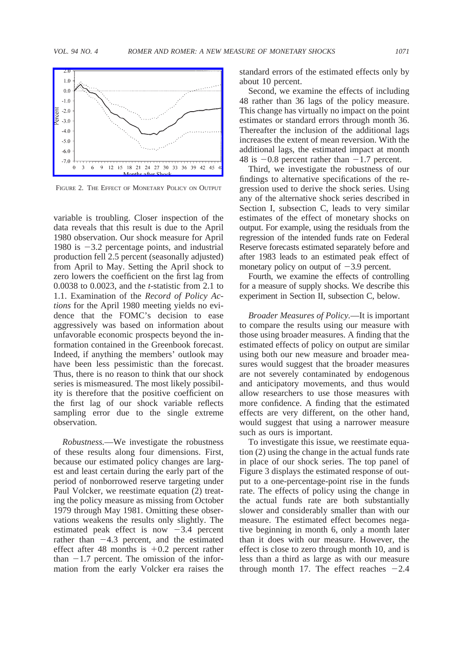

FIGURE 2. THE EFFECT OF MONETARY POLICY ON OUTPUT

variable is troubling. Closer inspection of the data reveals that this result is due to the April 1980 observation. Our shock measure for April 1980 is  $-3.2$  percentage points, and industrial production fell 2.5 percent (seasonally adjusted) from April to May. Setting the April shock to zero lowers the coefficient on the first lag from 0.0038 to 0.0023, and the *t*-statistic from 2.1 to 1.1. Examination of the *Record of Policy Actions* for the April 1980 meeting yields no evidence that the FOMC's decision to ease aggressively was based on information about unfavorable economic prospects beyond the information contained in the Greenbook forecast. Indeed, if anything the members' outlook may have been less pessimistic than the forecast. Thus, there is no reason to think that our shock series is mismeasured. The most likely possibility is therefore that the positive coefficient on the first lag of our shock variable reflects sampling error due to the single extreme observation.

*Robustness.*—We investigate the robustness of these results along four dimensions. First, because our estimated policy changes are largest and least certain during the early part of the period of nonborrowed reserve targeting under Paul Volcker, we reestimate equation (2) treating the policy measure as missing from October 1979 through May 1981. Omitting these observations weakens the results only slightly. The estimated peak effect is now  $-3.4$  percent rather than  $-4.3$  percent, and the estimated effect after 48 months is  $+0.2$  percent rather than  $-1.7$  percent. The omission of the information from the early Volcker era raises the

standard errors of the estimated effects only by about 10 percent.

Second, we examine the effects of including 48 rather than 36 lags of the policy measure. This change has virtually no impact on the point estimates or standard errors through month 36. Thereafter the inclusion of the additional lags increases the extent of mean reversion. With the additional lags, the estimated impact at month 48 is  $-0.8$  percent rather than  $-1.7$  percent.

Third, we investigate the robustness of our findings to alternative specifications of the regression used to derive the shock series. Using any of the alternative shock series described in Section I, subsection C, leads to very similar estimates of the effect of monetary shocks on output. For example, using the residuals from the regression of the intended funds rate on Federal Reserve forecasts estimated separately before and after 1983 leads to an estimated peak effect of monetary policy on output of  $-3.9$  percent.

Fourth, we examine the effects of controlling for a measure of supply shocks. We describe this experiment in Section II, subsection C, below.

*Broader Measures of Policy.*—It is important to compare the results using our measure with those using broader measures. A finding that the estimated effects of policy on output are similar using both our new measure and broader measures would suggest that the broader measures are not severely contaminated by endogenous and anticipatory movements, and thus would allow researchers to use those measures with more confidence. A finding that the estimated effects are very different, on the other hand, would suggest that using a narrower measure such as ours is important.

To investigate this issue, we reestimate equation (2) using the change in the actual funds rate in place of our shock series. The top panel of Figure 3 displays the estimated response of output to a one-percentage-point rise in the funds rate. The effects of policy using the change in the actual funds rate are both substantially slower and considerably smaller than with our measure. The estimated effect becomes negative beginning in month 6, only a month later than it does with our measure. However, the effect is close to zero through month 10, and is less than a third as large as with our measure through month 17. The effect reaches  $-2.4$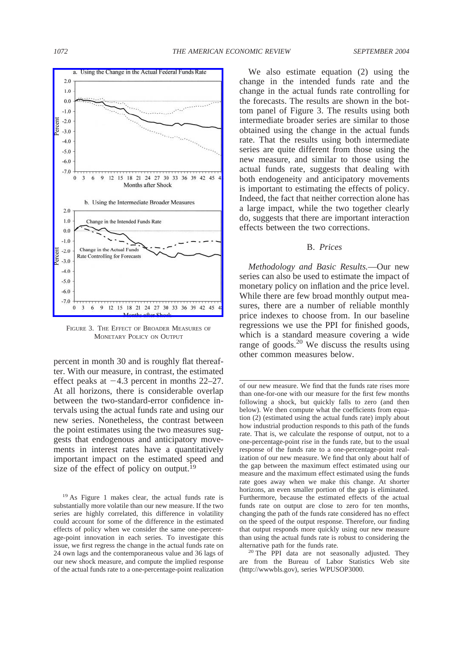

FIGURE 3. THE EFFECT OF BROADER MEASURES OF MONETARY POLICY ON OUTPUT

percent in month 30 and is roughly flat thereafter. With our measure, in contrast, the estimated effect peaks at  $-4.3$  percent in months 22–27. At all horizons, there is considerable overlap between the two-standard-error confidence intervals using the actual funds rate and using our new series. Nonetheless, the contrast between the point estimates using the two measures suggests that endogenous and anticipatory movements in interest rates have a quantitatively important impact on the estimated speed and size of the effect of policy on output.<sup>19</sup>

We also estimate equation (2) using the change in the intended funds rate and the change in the actual funds rate controlling for the forecasts. The results are shown in the bottom panel of Figure 3. The results using both intermediate broader series are similar to those obtained using the change in the actual funds rate. That the results using both intermediate series are quite different from those using the new measure, and similar to those using the actual funds rate, suggests that dealing with both endogeneity and anticipatory movements is important to estimating the effects of policy. Indeed, the fact that neither correction alone has a large impact, while the two together clearly do, suggests that there are important interaction effects between the two corrections.

#### B. *Prices*

*Methodology and Basic Results.*—Our new series can also be used to estimate the impact of monetary policy on inflation and the price level. While there are few broad monthly output measures, there are a number of reliable monthly price indexes to choose from. In our baseline regressions we use the PPI for finished goods, which is a standard measure covering a wide range of goods.<sup>20</sup> We discuss the results using other common measures below.

<sup>&</sup>lt;sup>19</sup> As Figure 1 makes clear, the actual funds rate is substantially more volatile than our new measure. If the two series are highly correlated, this difference in volatility could account for some of the difference in the estimated effects of policy when we consider the same one-percentage-point innovation in each series. To investigate this issue, we first regress the change in the actual funds rate on 24 own lags and the contemporaneous value and 36 lags of our new shock measure, and compute the implied response of the actual funds rate to a one-percentage-point realization

of our new measure. We find that the funds rate rises more than one-for-one with our measure for the first few months following a shock, but quickly falls to zero (and then below). We then compute what the coefficients from equation (2) (estimated using the actual funds rate) imply about how industrial production responds to this path of the funds rate. That is, we calculate the response of output, not to a one-percentage-point rise in the funds rate, but to the usual response of the funds rate to a one-percentage-point realization of our new measure. We find that only about half of the gap between the maximum effect estimated using our measure and the maximum effect estimated using the funds rate goes away when we make this change. At shorter horizons, an even smaller portion of the gap is eliminated. Furthermore, because the estimated effects of the actual funds rate on output are close to zero for ten months, changing the path of the funds rate considered has no effect on the speed of the output response. Therefore, our finding that output responds more quickly using our new measure than using the actual funds rate is robust to considering the

alternative path for the funds rate.<br><sup>20</sup> The PPI data are not seasonally adjusted. They are from the Bureau of Labor Statistics Web site (http://wwwbls.gov), series WPUSOP3000.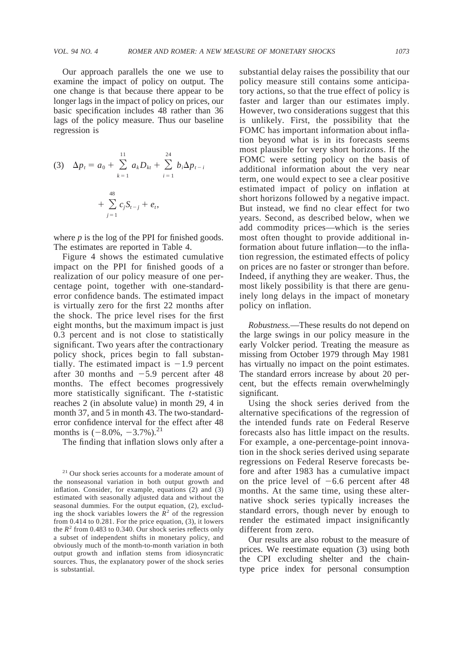Our approach parallels the one we use to examine the impact of policy on output. The one change is that because there appear to be longer lags in the impact of policy on prices, our basic specification includes 48 rather than 36 lags of the policy measure. Thus our baseline regression is

(3) 
$$
\Delta p_t = a_0 + \sum_{k=1}^{11} a_k D_{kt} + \sum_{i=1}^{24} b_i \Delta p_{t-i} + \sum_{j=1}^{48} c_j S_{t-j} + e_t,
$$

where  $p$  is the log of the PPI for finished goods. The estimates are reported in Table 4.

Figure 4 shows the estimated cumulative impact on the PPI for finished goods of a realization of our policy measure of one percentage point, together with one-standarderror confidence bands. The estimated impact is virtually zero for the first 22 months after the shock. The price level rises for the first eight months, but the maximum impact is just 0.3 percent and is not close to statistically significant. Two years after the contractionary policy shock, prices begin to fall substantially. The estimated impact is  $-1.9$  percent after 30 months and  $-5.9$  percent after 48 months. The effect becomes progressively more statistically significant. The *t*-statistic reaches 2 (in absolute value) in month 29, 4 in month 37, and 5 in month 43. The two-standarderror confidence interval for the effect after 48 months is  $(-8.0\%, -3.7\%)$ .<sup>21</sup>

The finding that inflation slows only after a

substantial delay raises the possibility that our policy measure still contains some anticipatory actions, so that the true effect of policy is faster and larger than our estimates imply. However, two considerations suggest that this is unlikely. First, the possibility that the FOMC has important information about inflation beyond what is in its forecasts seems most plausible for very short horizons. If the FOMC were setting policy on the basis of additional information about the very near term, one would expect to see a clear positive estimated impact of policy on inflation at short horizons followed by a negative impact. But instead, we find no clear effect for two years. Second, as described below, when we add commodity prices—which is the series most often thought to provide additional information about future inflation—to the inflation regression, the estimated effects of policy on prices are no faster or stronger than before. Indeed, if anything they are weaker. Thus, the most likely possibility is that there are genuinely long delays in the impact of monetary policy on inflation.

*Robustness.*—These results do not depend on the large swings in our policy measure in the early Volcker period. Treating the measure as missing from October 1979 through May 1981 has virtually no impact on the point estimates. The standard errors increase by about 20 percent, but the effects remain overwhelmingly significant.

Using the shock series derived from the alternative specifications of the regression of the intended funds rate on Federal Reserve forecasts also has little impact on the results. For example, a one-percentage-point innovation in the shock series derived using separate regressions on Federal Reserve forecasts before and after 1983 has a cumulative impact on the price level of  $-6.6$  percent after 48 months. At the same time, using these alternative shock series typically increases the standard errors, though never by enough to render the estimated impact insignificantly different from zero.

Our results are also robust to the measure of prices. We reestimate equation (3) using both the CPI excluding shelter and the chaintype price index for personal consumption

<sup>&</sup>lt;sup>21</sup> Our shock series accounts for a moderate amount of the nonseasonal variation in both output growth and inflation. Consider, for example, equations (2) and (3) estimated with seasonally adjusted data and without the seasonal dummies. For the output equation, (2), excluding the shock variables lowers the  $\mathbb{R}^2$  of the regression from 0.414 to 0.281. For the price equation, (3), it lowers the  $R^2$  from 0.483 to 0.340. Our shock series reflects only a subset of independent shifts in monetary policy, and obviously much of the month-to-month variation in both output growth and inflation stems from idiosyncratic sources. Thus, the explanatory power of the shock series is substantial.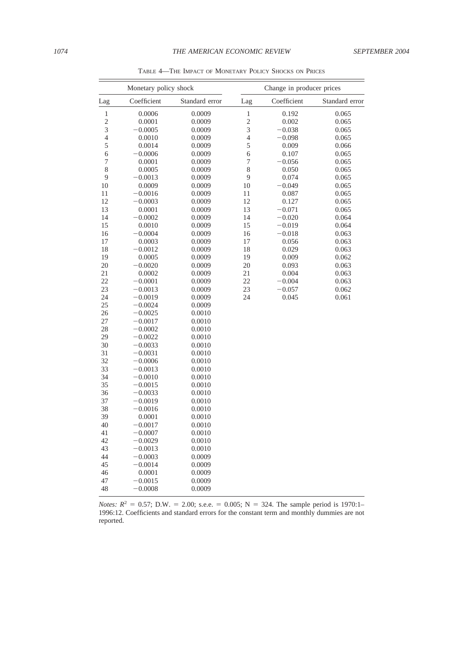|                | Monetary policy shock |                | Change in producer prices |             |                |  |  |
|----------------|-----------------------|----------------|---------------------------|-------------|----------------|--|--|
| Lag            | Coefficient           | Standard error | Lag                       | Coefficient | Standard error |  |  |
| $\,1$          | 0.0006                | 0.0009         | $\,1$                     | 0.192       | 0.065          |  |  |
| $\overline{c}$ | 0.0001                | 0.0009         | $\overline{c}$            | 0.002       | 0.065          |  |  |
| 3              | $-0.0005$             | 0.0009         | 3                         | $-0.038$    | 0.065          |  |  |
| 4              | 0.0010                | 0.0009         | $\overline{4}$            | $-0.098$    | 0.065          |  |  |
| 5              | 0.0014                | 0.0009         | 5                         | 0.009       | 0.066          |  |  |
| 6              | $-0.0006$             | 0.0009         | 6                         | 0.107       | 0.065          |  |  |
| 7              | 0.0001                | 0.0009         | $\boldsymbol{7}$          | $-0.056$    | 0.065          |  |  |
| 8              | 0.0005                | 0.0009         | $\,$ 8 $\,$               | 0.050       | 0.065          |  |  |
| 9              | $-0.0013$             | 0.0009         | 9                         | 0.074       | 0.065          |  |  |
| 10             | 0.0009                | 0.0009         | 10                        | $-0.049$    | 0.065          |  |  |
| 11             | $-0.0016$             | 0.0009         | 11                        | 0.087       | 0.065          |  |  |
| 12             | $-0.0003$             | 0.0009         | 12                        | 0.127       | 0.065          |  |  |
| 13             | 0.0001                | 0.0009         | 13                        | $-0.071$    | 0.065          |  |  |
| 14             | $-0.0002$             | 0.0009         | 14                        | $-0.020$    | 0.064          |  |  |
| 15             | 0.0010                | 0.0009         | 15                        | $-0.019$    | 0.064          |  |  |
| 16             | $-0.0004$             | 0.0009         | 16                        | $-0.018$    | 0.063          |  |  |
| 17             | 0.0003                | 0.0009         | 17                        | 0.056       | 0.063          |  |  |
| 18             | $-0.0012$             | 0.0009         | 18                        | 0.029       | 0.063          |  |  |
| 19             | 0.0005                | 0.0009         | 19                        | 0.009       | 0.062          |  |  |
| 20             | $-0.0020$             | 0.0009         | 20                        | 0.093       | 0.063          |  |  |
| 21             | 0.0002                | 0.0009         | 21                        | 0.004       | 0.063          |  |  |
| 22             | $-0.0001$             | 0.0009         | 22                        | $-0.004$    | 0.063          |  |  |
| 23             | $-0.0013$             | 0.0009         | 23                        | $-0.057$    | 0.062          |  |  |
| 24             | $-0.0019$             | 0.0009         | 24                        | 0.045       | 0.061          |  |  |
| 25             | $-0.0024$             | 0.0009         |                           |             |                |  |  |
| 26             | $-0.0025$             | 0.0010         |                           |             |                |  |  |
| 27             | $-0.0017$             | 0.0010         |                           |             |                |  |  |
| 28             | $-0.0002$             | 0.0010         |                           |             |                |  |  |
| 29             | $-0.0022$             | 0.0010         |                           |             |                |  |  |
| 30             | $-0.0033$             | 0.0010         |                           |             |                |  |  |
| 31             | $-0.0031$             | 0.0010         |                           |             |                |  |  |
| 32             | $-0.0006$             | 0.0010         |                           |             |                |  |  |
| 33             | $-0.0013$             | 0.0010         |                           |             |                |  |  |
| 34             | $-0.0010$             | 0.0010         |                           |             |                |  |  |
| 35             | $-0.0015$             | 0.0010         |                           |             |                |  |  |
| 36             | $-0.0033$             | 0.0010         |                           |             |                |  |  |
| 37             | $-0.0019$             | 0.0010         |                           |             |                |  |  |
| 38             | $-0.0016$             | 0.0010         |                           |             |                |  |  |
| 39             | 0.0001                | 0.0010         |                           |             |                |  |  |
| 40             | $-0.0017$             | 0.0010         |                           |             |                |  |  |
| 41             | $-0.0007$             | 0.0010         |                           |             |                |  |  |
| 42             | $-0.0029$             | 0.0010         |                           |             |                |  |  |
| 43             | $-0.0013$             | 0.0010         |                           |             |                |  |  |
| 44             | $-0.0003$             | 0.0009         |                           |             |                |  |  |
| 45             | $-0.0014$             | 0.0009         |                           |             |                |  |  |
| 46             | 0.0001                | 0.0009         |                           |             |                |  |  |
| 47             | $-0.0015$             | 0.0009         |                           |             |                |  |  |
| 48             | $-0.0008$             | 0.0009         |                           |             |                |  |  |

TABLE 4—THE IMPACT OF MONETARY POLICY SHOCKS ON PRICES

*Notes:*  $R^2 = 0.57$ ; D.W. = 2.00; s.e.e. = 0.005; N = 324. The sample period is 1970:1– 1996:12. Coefficients and standard errors for the constant term and monthly dummies are not reported.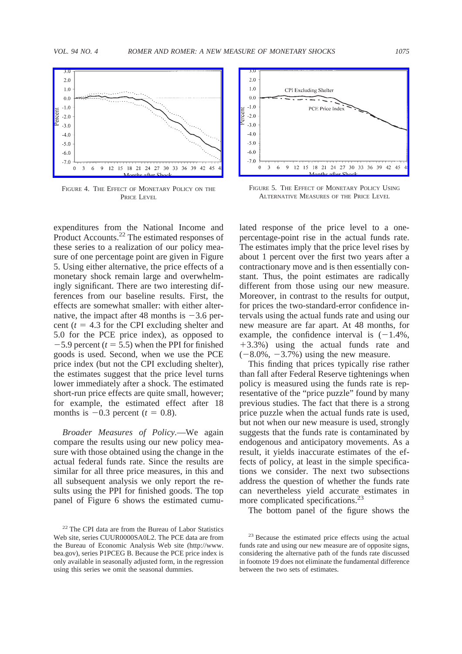

FIGURE 4. THE EFFECT OF MONETARY POLICY ON THE PRICE LEVEL

expenditures from the National Income and Product Accounts.<sup>22</sup> The estimated responses of these series to a realization of our policy measure of one percentage point are given in Figure 5. Using either alternative, the price effects of a monetary shock remain large and overwhelmingly significant. There are two interesting differences from our baseline results. First, the effects are somewhat smaller: with either alternative, the impact after 48 months is  $-3.6$  percent  $(t = 4.3$  for the CPI excluding shelter and 5.0 for the PCE price index), as opposed to  $-5.9$  percent ( $t = 5.5$ ) when the PPI for finished goods is used. Second, when we use the PCE price index (but not the CPI excluding shelter), the estimates suggest that the price level turns lower immediately after a shock. The estimated short-run price effects are quite small, however; for example, the estimated effect after 18 months is  $-0.3$  percent ( $t = 0.8$ ).

*Broader Measures of Policy.*—We again compare the results using our new policy measure with those obtained using the change in the actual federal funds rate. Since the results are similar for all three price measures, in this and all subsequent analysis we only report the results using the PPI for finished goods. The top panel of Figure 6 shows the estimated cumu-



FIGURE 5. THE EFFECT OF MONETARY POLICY USING ALTERNATIVE MEASURES OF THE PRICE LEVEL

lated response of the price level to a onepercentage-point rise in the actual funds rate. The estimates imply that the price level rises by about 1 percent over the first two years after a contractionary move and is then essentially constant. Thus, the point estimates are radically different from those using our new measure. Moreover, in contrast to the results for output, for prices the two-standard-error confidence intervals using the actual funds rate and using our new measure are far apart. At 48 months, for example, the confidence interval is  $(-1.4\%$ , 3.3%) using the actual funds rate and  $(-8.0\%, -3.7\%)$  using the new measure.

This finding that prices typically rise rather than fall after Federal Reserve tightenings when policy is measured using the funds rate is representative of the "price puzzle" found by many previous studies. The fact that there is a strong price puzzle when the actual funds rate is used, but not when our new measure is used, strongly suggests that the funds rate is contaminated by endogenous and anticipatory movements. As a result, it yields inaccurate estimates of the effects of policy, at least in the simple specifications we consider. The next two subsections address the question of whether the funds rate can nevertheless yield accurate estimates in more complicated specifications.<sup>23</sup>

The bottom panel of the figure shows the

<sup>22</sup> The CPI data are from the Bureau of Labor Statistics Web site, series CUUR0000SA0L2. The PCE data are from the Bureau of Economic Analysis Web site (http://www. bea.gov), series P1PCEG B. Because the PCE price index is only available in seasonally adjusted form, in the regression using this series we omit the seasonal dummies.

<sup>&</sup>lt;sup>23</sup> Because the estimated price effects using the actual funds rate and using our new measure are of opposite signs, considering the alternative path of the funds rate discussed in footnote 19 does not eliminate the fundamental difference between the two sets of estimates.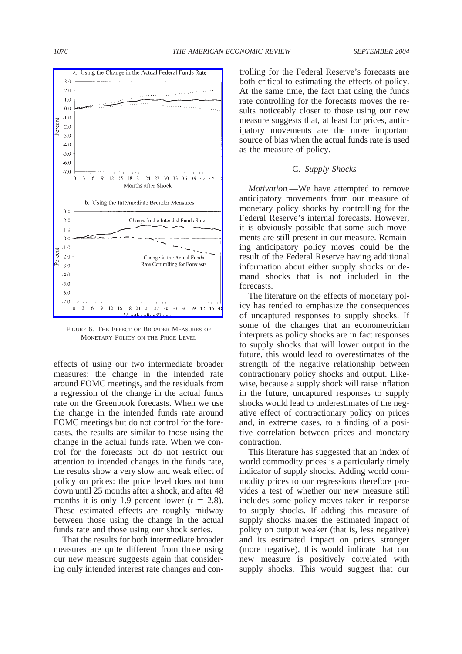

FIGURE 6. THE EFFECT OF BROADER MEASURES OF MONETARY POLICY ON THE PRICE LEVEL

effects of using our two intermediate broader measures: the change in the intended rate around FOMC meetings, and the residuals from a regression of the change in the actual funds rate on the Greenbook forecasts. When we use the change in the intended funds rate around FOMC meetings but do not control for the forecasts, the results are similar to those using the change in the actual funds rate. When we control for the forecasts but do not restrict our attention to intended changes in the funds rate, the results show a very slow and weak effect of policy on prices: the price level does not turn down until 25 months after a shock, and after 48 months it is only 1.9 percent lower  $(t = 2.8)$ . These estimated effects are roughly midway between those using the change in the actual funds rate and those using our shock series.

That the results for both intermediate broader measures are quite different from those using our new measure suggests again that considering only intended interest rate changes and controlling for the Federal Reserve's forecasts are both critical to estimating the effects of policy. At the same time, the fact that using the funds rate controlling for the forecasts moves the results noticeably closer to those using our new measure suggests that, at least for prices, anticipatory movements are the more important source of bias when the actual funds rate is used as the measure of policy.

#### C. *Supply Shocks*

*Motivation.*—We have attempted to remove anticipatory movements from our measure of monetary policy shocks by controlling for the Federal Reserve's internal forecasts. However, it is obviously possible that some such movements are still present in our measure. Remaining anticipatory policy moves could be the result of the Federal Reserve having additional information about either supply shocks or demand shocks that is not included in the forecasts.

The literature on the effects of monetary policy has tended to emphasize the consequences of uncaptured responses to supply shocks. If some of the changes that an econometrician interprets as policy shocks are in fact responses to supply shocks that will lower output in the future, this would lead to overestimates of the strength of the negative relationship between contractionary policy shocks and output. Likewise, because a supply shock will raise inflation in the future, uncaptured responses to supply shocks would lead to underestimates of the negative effect of contractionary policy on prices and, in extreme cases, to a finding of a positive correlation between prices and monetary contraction.

This literature has suggested that an index of world commodity prices is a particularly timely indicator of supply shocks. Adding world commodity prices to our regressions therefore provides a test of whether our new measure still includes some policy moves taken in response to supply shocks. If adding this measure of supply shocks makes the estimated impact of policy on output weaker (that is, less negative) and its estimated impact on prices stronger (more negative), this would indicate that our new measure is positively correlated with supply shocks. This would suggest that our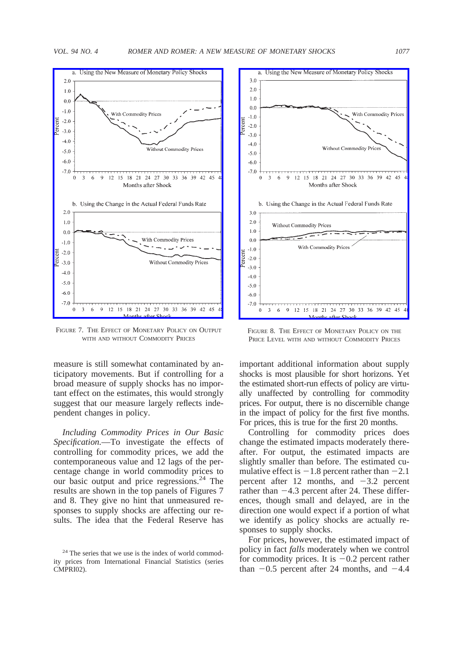

FIGURE 7. THE EFFECT OF MONETARY POLICY ON OUTPUT WITH AND WITHOUT COMMODITY PRICES

measure is still somewhat contaminated by anticipatory movements. But if controlling for a broad measure of supply shocks has no important effect on the estimates, this would strongly suggest that our measure largely reflects independent changes in policy.

*Including Commodity Prices in Our Basic Specification.*—To investigate the effects of controlling for commodity prices, we add the contemporaneous value and 12 lags of the percentage change in world commodity prices to our basic output and price regressions.<sup>24</sup> The results are shown in the top panels of Figures 7 and 8. They give no hint that unmeasured responses to supply shocks are affecting our results. The idea that the Federal Reserve has



FIGURE 8. THE EFFECT OF MONETARY POLICY ON THE PRICE LEVEL WITH AND WITHOUT COMMODITY PRICES

important additional information about supply shocks is most plausible for short horizons. Yet the estimated short-run effects of policy are virtually unaffected by controlling for commodity prices. For output, there is no discernible change in the impact of policy for the first five months. For prices, this is true for the first 20 months.

Controlling for commodity prices does change the estimated impacts moderately thereafter. For output, the estimated impacts are slightly smaller than before. The estimated cumulative effect is  $-1.8$  percent rather than  $-2.1$ percent after 12 months, and  $-3.2$  percent rather than  $-4.3$  percent after 24. These differences, though small and delayed, are in the direction one would expect if a portion of what we identify as policy shocks are actually responses to supply shocks.

For prices, however, the estimated impact of policy in fact *falls* moderately when we control for commodity prices. It is  $-0.2$  percent rather than  $-0.5$  percent after 24 months, and  $-4.4$ 

 $24$  The series that we use is the index of world commodity prices from International Financial Statistics (series CMPRI02).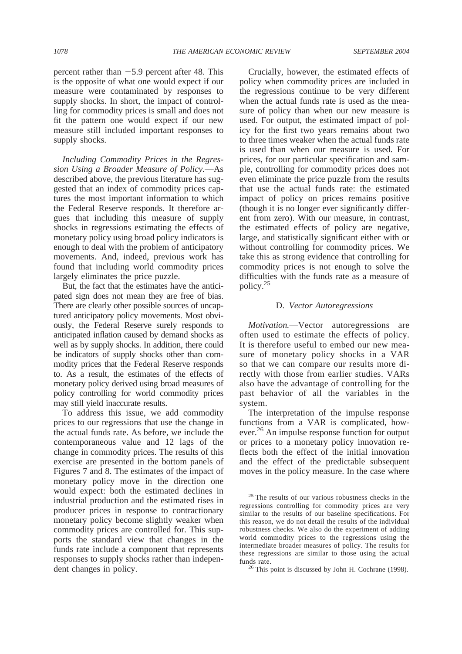percent rather than  $-5.9$  percent after 48. This is the opposite of what one would expect if our measure were contaminated by responses to supply shocks. In short, the impact of controlling for commodity prices is small and does not fit the pattern one would expect if our new measure still included important responses to supply shocks.

*Including Commodity Prices in the Regression Using a Broader Measure of Policy.*—As described above, the previous literature has suggested that an index of commodity prices captures the most important information to which the Federal Reserve responds. It therefore argues that including this measure of supply shocks in regressions estimating the effects of monetary policy using broad policy indicators is enough to deal with the problem of anticipatory movements. And, indeed, previous work has found that including world commodity prices largely eliminates the price puzzle.

But, the fact that the estimates have the anticipated sign does not mean they are free of bias. There are clearly other possible sources of uncaptured anticipatory policy movements. Most obviously, the Federal Reserve surely responds to anticipated inflation caused by demand shocks as well as by supply shocks. In addition, there could be indicators of supply shocks other than commodity prices that the Federal Reserve responds to. As a result, the estimates of the effects of monetary policy derived using broad measures of policy controlling for world commodity prices may still yield inaccurate results.

To address this issue, we add commodity prices to our regressions that use the change in the actual funds rate. As before, we include the contemporaneous value and 12 lags of the change in commodity prices. The results of this exercise are presented in the bottom panels of Figures 7 and 8. The estimates of the impact of monetary policy move in the direction one would expect: both the estimated declines in industrial production and the estimated rises in producer prices in response to contractionary monetary policy become slightly weaker when commodity prices are controlled for. This supports the standard view that changes in the funds rate include a component that represents responses to supply shocks rather than independent changes in policy.

Crucially, however, the estimated effects of policy when commodity prices are included in the regressions continue to be very different when the actual funds rate is used as the measure of policy than when our new measure is used. For output, the estimated impact of policy for the first two years remains about two to three times weaker when the actual funds rate is used than when our measure is used. For prices, for our particular specification and sample, controlling for commodity prices does not even eliminate the price puzzle from the results that use the actual funds rate: the estimated impact of policy on prices remains positive (though it is no longer ever significantly different from zero). With our measure, in contrast, the estimated effects of policy are negative, large, and statistically significant either with or without controlling for commodity prices. We take this as strong evidence that controlling for commodity prices is not enough to solve the difficulties with the funds rate as a measure of policy.25

#### D. *Vector Autoregressions*

*Motivation.*—Vector autoregressions are often used to estimate the effects of policy. It is therefore useful to embed our new measure of monetary policy shocks in a VAR so that we can compare our results more directly with those from earlier studies. VARs also have the advantage of controlling for the past behavior of all the variables in the system.

The interpretation of the impulse response functions from a VAR is complicated, however.<sup>26</sup> An impulse response function for output or prices to a monetary policy innovation reflects both the effect of the initial innovation and the effect of the predictable subsequent moves in the policy measure. In the case where

 $25$  The results of our various robustness checks in the regressions controlling for commodity prices are very similar to the results of our baseline specifications. For this reason, we do not detail the results of the individual robustness checks. We also do the experiment of adding world commodity prices to the regressions using the intermediate broader measures of policy. The results for these regressions are similar to those using the actual funds rate.<br><sup>26</sup> This point is discussed by John H. Cochrane (1998).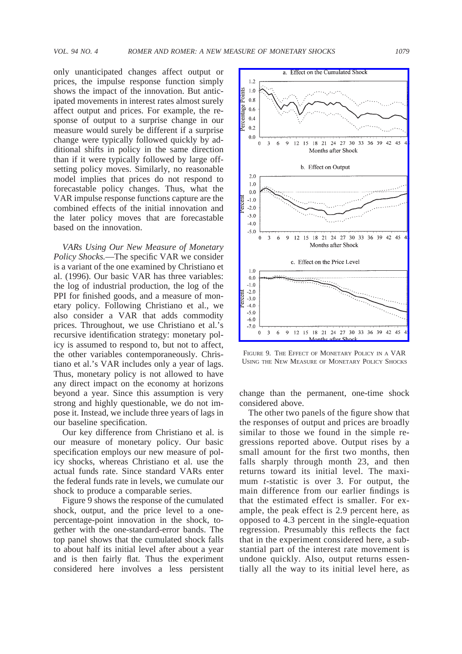only unanticipated changes affect output or prices, the impulse response function simply shows the impact of the innovation. But anticipated movements in interest rates almost surely affect output and prices. For example, the response of output to a surprise change in our measure would surely be different if a surprise change were typically followed quickly by additional shifts in policy in the same direction than if it were typically followed by large offsetting policy moves. Similarly, no reasonable model implies that prices do not respond to forecastable policy changes. Thus, what the VAR impulse response functions capture are the combined effects of the initial innovation and the later policy moves that are forecastable based on the innovation.

*VARs Using Our New Measure of Monetary Policy Shocks.*—The specific VAR we consider is a variant of the one examined by Christiano et al. (1996). Our basic VAR has three variables: the log of industrial production, the log of the PPI for finished goods, and a measure of monetary policy. Following Christiano et al., we also consider a VAR that adds commodity prices. Throughout, we use Christiano et al.'s recursive identification strategy: monetary policy is assumed to respond to, but not to affect, the other variables contemporaneously. Christiano et al.'s VAR includes only a year of lags. Thus, monetary policy is not allowed to have any direct impact on the economy at horizons beyond a year. Since this assumption is very strong and highly questionable, we do not impose it. Instead, we include three years of lags in our baseline specification.

Our key difference from Christiano et al. is our measure of monetary policy. Our basic specification employs our new measure of policy shocks, whereas Christiano et al. use the actual funds rate. Since standard VARs enter the federal funds rate in levels, we cumulate our shock to produce a comparable series.

Figure 9 shows the response of the cumulated shock, output, and the price level to a onepercentage-point innovation in the shock, together with the one-standard-error bands. The top panel shows that the cumulated shock falls to about half its initial level after about a year and is then fairly flat. Thus the experiment considered here involves a less persistent



FIGURE 9. THE EFFECT OF MONETARY POLICY IN A VAR USING THE NEW MEASURE OF MONETARY POLICY SHOCKS

change than the permanent, one-time shock considered above.

The other two panels of the figure show that the responses of output and prices are broadly similar to those we found in the simple regressions reported above. Output rises by a small amount for the first two months, then falls sharply through month 23, and then returns toward its initial level. The maximum *t*-statistic is over 3. For output, the main difference from our earlier findings is that the estimated effect is smaller. For example, the peak effect is 2.9 percent here, as opposed to 4.3 percent in the single-equation regression. Presumably this reflects the fact that in the experiment considered here, a substantial part of the interest rate movement is undone quickly. Also, output returns essentially all the way to its initial level here, as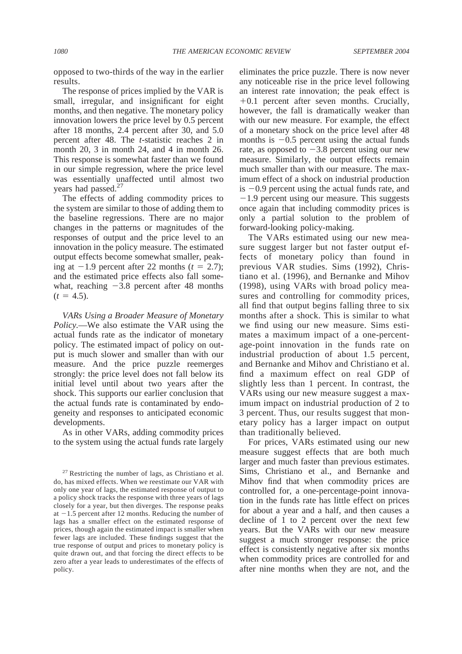opposed to two-thirds of the way in the earlier results.

The response of prices implied by the VAR is small, irregular, and insignificant for eight months, and then negative. The monetary policy innovation lowers the price level by 0.5 percent after 18 months, 2.4 percent after 30, and 5.0 percent after 48. The *t*-statistic reaches 2 in month 20, 3 in month 24, and 4 in month 26. This response is somewhat faster than we found in our simple regression, where the price level was essentially unaffected until almost two years had passed.<sup>27</sup>

The effects of adding commodity prices to the system are similar to those of adding them to the baseline regressions. There are no major changes in the patterns or magnitudes of the responses of output and the price level to an innovation in the policy measure. The estimated output effects become somewhat smaller, peaking at  $-1.9$  percent after 22 months ( $t = 2.7$ ); and the estimated price effects also fall somewhat, reaching  $-3.8$  percent after 48 months  $(t = 4.5)$ .

*VARs Using a Broader Measure of Monetary Policy.*—We also estimate the VAR using the actual funds rate as the indicator of monetary policy. The estimated impact of policy on output is much slower and smaller than with our measure. And the price puzzle reemerges strongly: the price level does not fall below its initial level until about two years after the shock. This supports our earlier conclusion that the actual funds rate is contaminated by endogeneity and responses to anticipated economic developments.

As in other VARs, adding commodity prices to the system using the actual funds rate largely eliminates the price puzzle. There is now never any noticeable rise in the price level following an interest rate innovation; the peak effect is  $+0.1$  percent after seven months. Crucially, however, the fall is dramatically weaker than with our new measure. For example, the effect of a monetary shock on the price level after 48 months is  $-0.5$  percent using the actual funds rate, as opposed to  $-3.8$  percent using our new measure. Similarly, the output effects remain much smaller than with our measure. The maximum effect of a shock on industrial production is  $-0.9$  percent using the actual funds rate, and  $-1.9$  percent using our measure. This suggests once again that including commodity prices is only a partial solution to the problem of forward-looking policy-making.

The VARs estimated using our new measure suggest larger but not faster output effects of monetary policy than found in previous VAR studies. Sims (1992), Christiano et al. (1996), and Bernanke and Mihov (1998), using VARs with broad policy measures and controlling for commodity prices, all find that output begins falling three to six months after a shock. This is similar to what we find using our new measure. Sims estimates a maximum impact of a one-percentage-point innovation in the funds rate on industrial production of about 1.5 percent, and Bernanke and Mihov and Christiano et al. find a maximum effect on real GDP of slightly less than 1 percent. In contrast, the VARs using our new measure suggest a maximum impact on industrial production of 2 to 3 percent. Thus, our results suggest that monetary policy has a larger impact on output than traditionally believed.

For prices, VARs estimated using our new measure suggest effects that are both much larger and much faster than previous estimates. Sims, Christiano et al., and Bernanke and Mihov find that when commodity prices are controlled for, a one-percentage-point innovation in the funds rate has little effect on prices for about a year and a half, and then causes a decline of 1 to 2 percent over the next few years. But the VARs with our new measure suggest a much stronger response: the price effect is consistently negative after six months when commodity prices are controlled for and after nine months when they are not, and the

 $27$  Restricting the number of lags, as Christiano et al. do, has mixed effects. When we reestimate our VAR with only one year of lags, the estimated response of output to a policy shock tracks the response with three years of lags closely for a year, but then diverges. The response peaks at  $-1.5$  percent after 12 months. Reducing the number of lags has a smaller effect on the estimated response of prices, though again the estimated impact is smaller when fewer lags are included. These findings suggest that the true response of output and prices to monetary policy is quite drawn out, and that forcing the direct effects to be zero after a year leads to underestimates of the effects of policy.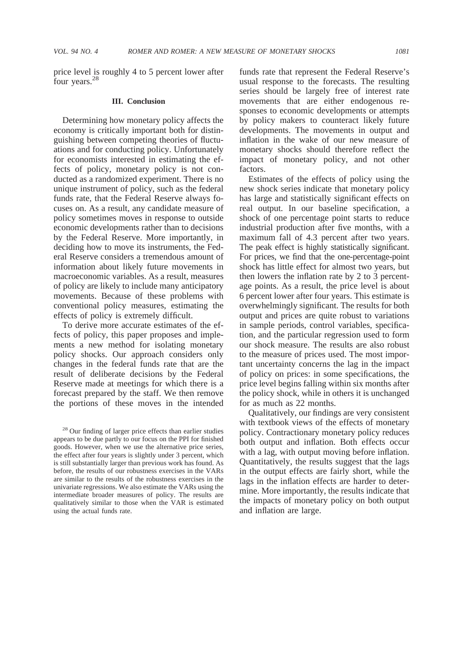price level is roughly 4 to 5 percent lower after four years.<sup>28</sup>

#### **III. Conclusion**

Determining how monetary policy affects the economy is critically important both for distinguishing between competing theories of fluctuations and for conducting policy. Unfortunately for economists interested in estimating the effects of policy, monetary policy is not conducted as a randomized experiment. There is no unique instrument of policy, such as the federal funds rate, that the Federal Reserve always focuses on. As a result, any candidate measure of policy sometimes moves in response to outside economic developments rather than to decisions by the Federal Reserve. More importantly, in deciding how to move its instruments, the Federal Reserve considers a tremendous amount of information about likely future movements in macroeconomic variables. As a result, measures of policy are likely to include many anticipatory movements. Because of these problems with conventional policy measures, estimating the effects of policy is extremely difficult.

To derive more accurate estimates of the effects of policy, this paper proposes and implements a new method for isolating monetary policy shocks. Our approach considers only changes in the federal funds rate that are the result of deliberate decisions by the Federal Reserve made at meetings for which there is a forecast prepared by the staff. We then remove the portions of these moves in the intended funds rate that represent the Federal Reserve's usual response to the forecasts. The resulting series should be largely free of interest rate movements that are either endogenous responses to economic developments or attempts by policy makers to counteract likely future developments. The movements in output and inflation in the wake of our new measure of monetary shocks should therefore reflect the impact of monetary policy, and not other factors.

Estimates of the effects of policy using the new shock series indicate that monetary policy has large and statistically significant effects on real output. In our baseline specification, a shock of one percentage point starts to reduce industrial production after five months, with a maximum fall of 4.3 percent after two years. The peak effect is highly statistically significant. For prices, we find that the one-percentage-point shock has little effect for almost two years, but then lowers the inflation rate by 2 to 3 percentage points. As a result, the price level is about 6 percent lower after four years. This estimate is overwhelmingly significant. The results for both output and prices are quite robust to variations in sample periods, control variables, specification, and the particular regression used to form our shock measure. The results are also robust to the measure of prices used. The most important uncertainty concerns the lag in the impact of policy on prices: in some specifications, the price level begins falling within six months after the policy shock, while in others it is unchanged for as much as 22 months.

Qualitatively, our findings are very consistent with textbook views of the effects of monetary policy. Contractionary monetary policy reduces both output and inflation. Both effects occur with a lag, with output moving before inflation. Quantitatively, the results suggest that the lags in the output effects are fairly short, while the lags in the inflation effects are harder to determine. More importantly, the results indicate that the impacts of monetary policy on both output and inflation are large.

<sup>&</sup>lt;sup>28</sup> Our finding of larger price effects than earlier studies appears to be due partly to our focus on the PPI for finished goods. However, when we use the alternative price series, the effect after four years is slightly under 3 percent, which is still substantially larger than previous work has found. As before, the results of our robustness exercises in the VARs are similar to the results of the robustness exercises in the univariate regressions. We also estimate the VARs using the intermediate broader measures of policy. The results are qualitatively similar to those when the VAR is estimated using the actual funds rate.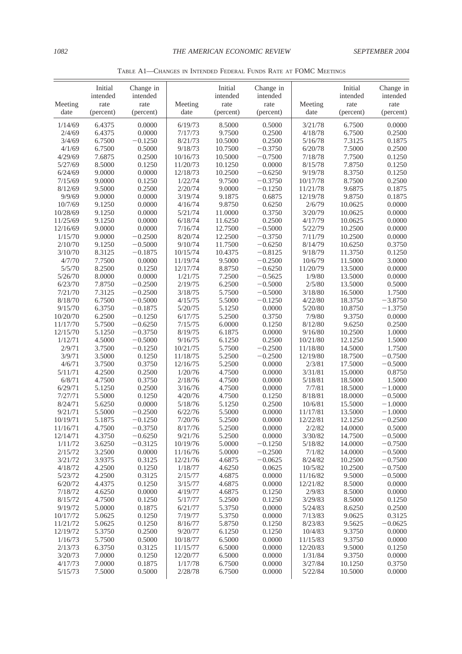TABLE A1—CHANGES IN INTENDED FEDERAL FUNDS RATE AT FOMC MEETINGS

|                    | Initial          | Change in        |                      | Initial          | Change in              |                     | Initial            | Change in        |
|--------------------|------------------|------------------|----------------------|------------------|------------------------|---------------------|--------------------|------------------|
|                    | intended         | intended         |                      | intended         | intended               |                     | intended           | intended         |
| Meeting            | rate             | rate             | Meeting              | rate             | rate                   | Meeting             | rate               | rate             |
| date               | (percent)        | (percent)        | date                 | (percent)        | (percent)              | date                | (percent)          | (percent)        |
| 1/14/69            | 6.4375           | 0.0000           | 6/19/73              | 8.5000           | 0.5000                 | 3/21/78             | 6.7500             | 0.0000           |
| 2/4/69             | 6.4375           | 0.0000           | 7/17/73              | 9.7500           | 0.2500                 | 4/18/78             | 6.7500             | 0.2500           |
| 3/4/69             | 6.7500           | $-0.1250$        | 8/21/73              | 10.5000          | 0.2500                 | 5/16/78             | 7.3125             | 0.1875           |
| 4/1/69             | 6.7500           | 0.5000           | 9/18/73              | 10.7500          | $-0.3750$              | 6/20/78             | 7.5000             | 0.2500           |
| 4/29/69            | 7.6875           | 0.2500           | 10/16/73             | 10.5000          | $-0.7500$              | 7/18/78             | 7.7500             | 0.1250           |
| 5/27/69            | 8.5000           | 0.1250           | 11/20/73             | 10.1250          | 0.0000                 | 8/15/78             | 7.8750             | 0.1250           |
| 6/24/69            | 9.0000           | 0.0000           | 12/18/73             | 10.2500          | $-0.6250$              | 9/19/78             | 8.3750             | 0.1250           |
| 7/15/69            | 9.0000           | 0.1250           | 1/22/74              | 9.7500           | $-0.3750$              | 10/17/78            | 8.7500             | 0.2500           |
| 8/12/69            | 9.5000           | 0.2500           | 2/20/74              | 9.0000           | $-0.1250$              | 11/21/78            | 9.6875             | 0.1875           |
| 9/9/69             | 9.0000           | 0.0000           | 3/19/74              | 9.1875           | 0.6875                 | 12/19/78            | 9.8750             | 0.1875           |
| 10/7/69            | 9.1250           | 0.0000           | 4/16/74              | 9.8750           | 0.6250                 | 2/6/79              | 10.0625            | 0.0000           |
| 10/28/69           | 9.1250           | 0.0000           | 5/21/74              | 11.0000          | 0.3750                 | 3/20/79             | 10.0625            | 0.0000           |
| 11/25/69           | 9.1250           | 0.0000           | 6/18/74              | 11.6250          | 0.2500                 | 4/17/79             | 10.0625            | 0.0000           |
| 12/16/69           | 9.0000           | 0.0000           | 7/16/74              | 12.7500          | $-0.5000$              | 5/22/79             | 10.2500            | 0.0000           |
| 1/15/70            | 9.0000           | $-0.2500$        | 8/20/74              | 12.2500          | $-0.3750$              | 7/11/79             | 10.2500            | 0.0000           |
| 2/10/70            | 9.1250           | $-0.5000$        | 9/10/74              | 11.7500          | $-0.6250$              | 8/14/79             | 10.6250            | 0.3750           |
| 3/10/70            | 8.3125           | $-0.1875$        | 10/15/74             | 10.4375          | $-0.8125$              | 9/18/79             | 11.3750            | 0.1250           |
| 4/7/70<br>5/5/70   | 7.7500<br>8.2500 | 0.0000<br>0.1250 | 11/19/74<br>12/17/74 | 9.5000           | $-0.2500$              | 10/6/79<br>11/20/79 | 11.5000            | 3.0000<br>0.0000 |
| 5/26/70            | 8.0000           | 0.0000           | 1/21/75              | 8.8750<br>7.2500 | $-0.6250$<br>$-0.5625$ | 1/9/80              | 13.5000<br>13.5000 | 0.0000           |
| 6/23/70            | 7.8750           | $-0.2500$        | 2/19/75              | 6.2500           | $-0.5000$              | 2/5/80              | 13.5000            | 0.5000           |
| 7/21/70            | 7.3125           | $-0.2500$        | 3/18/75              | 5.7500           | $-0.5000$              | 3/18/80             | 16.5000            | 1.7500           |
| 8/18/70            | 6.7500           | $-0.5000$        | 4/15/75              | 5.5000           | $-0.1250$              | 4/22/80             | 18.3750            | $-3.8750$        |
| 9/15/70            | 6.3750           | $-0.1875$        | 5/20/75              | 5.1250           | 0.0000                 | 5/20/80             | 10.8750            | $-1.3750$        |
| 10/20/70           | 6.2500           | $-0.1250$        | 6/17/75              | 5.2500           | 0.3750                 | 7/9/80              | 9.3750             | 0.0000           |
| 11/17/70           | 5.7500           | $-0.6250$        | 7/15/75              | 6.0000           | 0.1250                 | 8/12/80             | 9.6250             | 0.2500           |
| 12/15/70           | 5.1250           | $-0.3750$        | 8/19/75              | 6.1875           | 0.0000                 | 9/16/80             | 10.2500            | 1.0000           |
| 1/12/71            | 4.5000           | $-0.5000$        | 9/16/75              | 6.1250           | 0.2500                 | 10/21/80            | 12.1250            | 1.5000           |
| 2/9/71             | 3.7500           | $-0.1250$        | 10/21/75             | 5.7500           | $-0.2500$              | 11/18/80            | 14.5000            | 1.7500           |
| 3/9/71             | 3.5000           | 0.1250           | 11/18/75             | 5.2500           | $-0.2500$              | 12/19/80            | 18.7500            | $-0.7500$        |
| 4/6/71             | 3.7500           | 0.3750           | 12/16/75             | 5.2500           | 0.0000                 | 2/3/81              | 17.5000            | $-0.5000$        |
| 5/11/71            | 4.2500           | 0.2500           | 1/20/76              | 4.7500           | 0.0000                 | 3/31/81             | 15.0000            | 0.8750           |
| 6/8/71             | 4.7500           | 0.3750           | 2/18/76              | 4.7500           | 0.0000                 | 5/18/81             | 18.5000            | 1.5000           |
| 6/29/71            | 5.1250           | 0.2500           | 3/16/76              | 4.7500           | 0.0000                 | 7/7/81              | 18.5000            | $-1.0000$        |
| 7/27/71            | 5.5000           | 0.1250           | 4/20/76              | 4.7500           | 0.1250                 | 8/18/81             | 18.0000            | $-0.5000$        |
| 8/24/71            | 5.6250           | 0.0000           | 5/18/76              | 5.1250           | 0.2500                 | 10/6/81             | 15.5000            | $-1.0000$        |
| 9/21/71            | 5.5000           | $-0.2500$        | 6/22/76              | 5.5000           | 0.0000                 | 11/17/81            | 13.5000            | $-1.0000$        |
| 10/19/71           | 5.1875           | $-0.1250$        | 7/20/76              | 5.2500           | 0.0000                 | 12/22/81            | 12.1250            | $-0.2500$        |
| 11/16/71           | 4.7500           | $-0.3750$        | 8/17/76              | 5.2500           | 0.0000                 | 2/2/82              | 14.0000            | 0.5000           |
| 12/14/71           | 4.3750           | $-0.6250$        | 9/21/76              | 5.2500           | 0.0000                 | 3/30/82             | 14.7500            | $-0.5000$        |
| 1/11/72            | 3.6250           | $-0.3125$        | 10/19/76             | 5.0000           | $-0.1250$              | 5/18/82             | 14.0000            | $-0.7500$        |
| 2/15/72            | 3.2500           | 0.0000           | 11/16/76             | 5.0000           | $-0.2500$              | 7/1/82              | 14.0000            | $-0.5000$        |
| 3/21/72            | 3.9375           | 0.3125           | 12/21/76             | 4.6875           | $-0.0625$              | 8/24/82             | 10.2500            | $-0.7500$        |
| 4/18/72            | 4.2500           | 0.1250<br>0.3125 | 1/18/77              | 4.6250           | 0.0625                 | 10/5/82             | 10.2500            | $-0.7500$        |
| 5/23/72            | 4.2500           |                  | 2/15/77              | 4.6875           | 0.0000                 | 11/16/82            | 9.5000             | $-0.5000$        |
| 6/20/72<br>7/18/72 | 4.4375<br>4.6250 | 0.1250<br>0.0000 | 3/15/77<br>4/19/77   | 4.6875<br>4.6875 | 0.0000<br>0.1250       | 12/21/82<br>2/9/83  | 8.5000<br>8.5000   | 0.0000<br>0.0000 |
| 8/15/72            | 4.7500           | 0.1250           | 5/17/77              | 5.2500           | 0.1250                 | 3/29/83             | 8.5000             | 0.1250           |
| 9/19/72            | 5.0000           | 0.1875           | 6/21/77              | 5.3750           | 0.0000                 | 5/24/83             | 8.6250             | 0.2500           |
| 10/17/72           | 5.0625           | 0.1250           | 7/19/77              | 5.3750           | 0.0000                 | 7/13/83             | 9.0625             | 0.3125           |
| 11/21/72           | 5.0625           | 0.1250           | 8/16/77              | 5.8750           | 0.1250                 | 8/23/83             | 9.5625             | $-0.0625$        |
| 12/19/72           | 5.3750           | 0.2500           | 9/20/77              | 6.1250           | 0.1250                 | 10/4/83             | 9.3750             | 0.0000           |
| 1/16/73            | 5.7500           | 0.5000           | 10/18/77             | 6.5000           | 0.0000                 | 11/15/83            | 9.3750             | 0.0000           |
| 2/13/73            | 6.3750           | 0.3125           | 11/15/77             | 6.5000           | 0.0000                 | 12/20/83            | 9.5000             | 0.1250           |
| 3/20/73            | 7.0000           | 0.1250           | 12/20/77             | 6.5000           | 0.0000                 | 1/31/84             | 9.3750             | 0.0000           |
| 4/17/73            | 7.0000           | 0.1875           | 1/17/78              | 6.7500           | 0.0000                 | 3/27/84             | 10.1250            | 0.3750           |
| 5/15/73            | 7.5000           | 0.5000           | 2/28/78              | 6.7500           | 0.0000                 | 5/22/84             | 10.5000            | 0.0000           |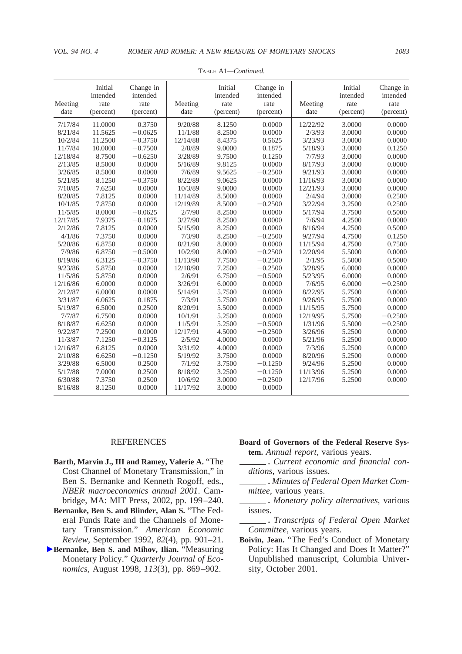| Meeting<br>date | Initial<br>intended<br>rate<br>(percent) | Change in<br>intended<br>rate<br>(percent) | Meeting<br>date | Initial<br>intended<br>rate<br>(percent) | Change in<br>intended<br>rate<br>(percent) | Meeting<br>date | Initial<br>intended<br>rate<br>(percent) | Change in<br>intended<br>rate<br>(percent) |
|-----------------|------------------------------------------|--------------------------------------------|-----------------|------------------------------------------|--------------------------------------------|-----------------|------------------------------------------|--------------------------------------------|
| 7/17/84         | 11.0000                                  | 0.3750                                     | 9/20/88         | 8.1250                                   | 0.0000                                     | 12/22/92        | 3.0000                                   | 0.0000                                     |
| 8/21/84         | 11.5625                                  | $-0.0625$                                  | 11/1/88         | 8.2500                                   | 0.0000                                     | 2/3/93          | 3.0000                                   | 0.0000                                     |
| 10/2/84         | 11.2500                                  | $-0.3750$                                  | 12/14/88        | 8.4375                                   | 0.5625                                     | 3/23/93         | 3.0000                                   | 0.0000                                     |
| 11/7/84         | 10.0000                                  | $-0.7500$                                  | 2/8/89          | 9.0000                                   | 0.1875                                     | 5/18/93         | 3.0000                                   | 0.1250                                     |
| 12/18/84        | 8.7500                                   | $-0.6250$                                  | 3/28/89         | 9.7500                                   | 0.1250                                     | 7/7/93          | 3.0000                                   | 0.0000                                     |
| 2/13/85         | 8.5000                                   | 0.0000                                     | 5/16/89         | 9.8125                                   | 0.0000                                     | 8/17/93         | 3.0000                                   | 0.0000                                     |
| 3/26/85         | 8.5000                                   | 0.0000                                     | 7/6/89          | 9.5625                                   | $-0.2500$                                  | 9/21/93         | 3.0000                                   | 0.0000                                     |
| 5/21/85         | 8.1250                                   | $-0.3750$                                  | 8/22/89         | 9.0625                                   | 0.0000                                     | 11/16/93        | 3.0000                                   | 0.0000                                     |
| 7/10/85         | 7.6250                                   | 0.0000                                     | 10/3/89         | 9.0000                                   | 0.0000                                     | 12/21/93        | 3.0000                                   | 0.0000                                     |
| 8/20/85         | 7.8125                                   | 0.0000                                     | 11/14/89        | 8.5000                                   | 0.0000                                     | 2/4/94          | 3.0000                                   | 0.2500                                     |
| 10/1/85         | 7.8750                                   | 0.0000                                     | 12/19/89        | 8.5000                                   | $-0.2500$                                  | 3/22/94         | 3.2500                                   | 0.2500                                     |
| 11/5/85         | 8.0000                                   | $-0.0625$                                  | 2/7/90          | 8.2500                                   | 0.0000                                     | 5/17/94         | 3.7500                                   | 0.5000                                     |
| 12/17/85        | 7.9375                                   | $-0.1875$                                  | 3/27/90         | 8.2500                                   | 0.0000                                     | 7/6/94          | 4.2500                                   | 0.0000                                     |
| 2/12/86         | 7.8125                                   | 0.0000                                     | 5/15/90         | 8.2500                                   | 0.0000                                     | 8/16/94         | 4.2500                                   | 0.5000                                     |
| 4/1/86          | 7.3750                                   | 0.0000                                     | 7/3/90          | 8.2500                                   | $-0.2500$                                  | 9/27/94         | 4.7500                                   | 0.1250                                     |
| 5/20/86         | 6.8750                                   | 0.0000                                     | 8/21/90         | 8.0000                                   | 0.0000                                     | 11/15/94        | 4.7500                                   | 0.7500                                     |
| 7/9/86          | 6.8750                                   | $-0.5000$                                  | 10/2/90         | 8.0000                                   | $-0.2500$                                  | 12/20/94        | 5.5000                                   | 0.0000                                     |
| 8/19/86         | 6.3125                                   | $-0.3750$                                  | 11/13/90        | 7.7500                                   | $-0.2500$                                  | 2/1/95          | 5.5000                                   | 0.5000                                     |
| 9/23/86         | 5.8750                                   | 0.0000                                     | 12/18/90        | 7.2500                                   | $-0.2500$                                  | 3/28/95         | 6.0000                                   | 0.0000                                     |
| 11/5/86         | 5.8750                                   | 0.0000                                     | 2/6/91          | 6.7500                                   | $-0.5000$                                  | 5/23/95         | 6.0000                                   | 0.0000                                     |
| 12/16/86        | 6.0000                                   | 0.0000                                     | 3/26/91         | 6.0000                                   | 0.0000                                     | 7/6/95          | 6.0000                                   | $-0.2500$                                  |
| 2/12/87         | 6.0000                                   | 0.0000                                     | 5/14/91         | 5.7500                                   | 0.0000                                     | 8/22/95         | 5.7500                                   | 0.0000                                     |
| 3/31/87         | 6.0625                                   | 0.1875                                     | 7/3/91          | 5.7500                                   | 0.0000                                     | 9/26/95         | 5.7500                                   | 0.0000                                     |
| 5/19/87         | 6.5000                                   | 0.2500                                     | 8/20/91         | 5.5000                                   | 0.0000                                     | 11/15/95        | 5.7500                                   | 0.0000                                     |
| 7/7/87          | 6.7500                                   | 0.0000                                     | 10/1/91         | 5.2500                                   | 0.0000                                     | 12/19/95        | 5.7500                                   | $-0.2500$                                  |
| 8/18/87         | 6.6250                                   | 0.0000                                     | 11/5/91         | 5.2500                                   | $-0.5000$                                  | 1/31/96         | 5.5000                                   | $-0.2500$                                  |
| 9/22/87         | 7.2500                                   | 0.0000                                     | 12/17/91        | 4.5000                                   | $-0.2500$                                  | 3/26/96         | 5.2500                                   | 0.0000                                     |
| 11/3/87         | 7.1250                                   | $-0.3125$                                  | 2/5/92          | 4.0000                                   | 0.0000                                     | 5/21/96         | 5.2500                                   | 0.0000                                     |
| 12/16/87        | 6.8125                                   | 0.0000                                     | 3/31/92         | 4.0000                                   | 0.0000                                     | 7/3/96          | 5.2500                                   | 0.0000                                     |
| 2/10/88         | 6.6250                                   | $-0.1250$                                  | 5/19/92         | 3.7500                                   | 0.0000                                     | 8/20/96         | 5.2500                                   | 0.0000                                     |
| 3/29/88         | 6.5000                                   | 0.2500                                     | 7/1/92          | 3.7500                                   | $-0.1250$                                  | 9/24/96         | 5.2500                                   | 0.0000                                     |
| 5/17/88         | 7.0000                                   | 0.2500                                     | 8/18/92         | 3.2500                                   | $-0.1250$                                  | 11/13/96        | 5.2500                                   | 0.0000                                     |
| 6/30/88         | 7.3750                                   | 0.2500                                     | 10/6/92         | 3.0000                                   | $-0.2500$                                  | 12/17/96        | 5.2500                                   | 0.0000                                     |
| 8/16/88         | 8.1250                                   | 0.0000                                     | 11/17/92        | 3.0000                                   | 0.0000                                     |                 |                                          |                                            |

TABLE A1*—Continued.*

#### REFERENCES

- **Barth, Marvin J., III and Ramey, Valerie A.** "The Cost Channel of Monetary Transmission," in Ben S. Bernanke and Kenneth Rogoff, eds., *NBER macroeconomics annual 2001*. Cambridge, MA: MIT Press, 2002, pp. 199–240.
- **Bernanke, Ben S. and Blinder, Alan S.** "The Federal Funds Rate and the Channels of Monetary Transmission." *American Economic Review,* September 1992, *82*(4), pp. 901–21.
- **Bernanke, Ben S. and Mihov, Ilian.** "Measuring Monetary Policy." *Quarterly Journal of Economics,* August 1998, *113*(3), pp. 869–902.
- **Board of Governors of the Federal Reserve System.** *Annual report,* various years.
	- **.** *Current economic and financial conditions,* various issues.
	- **.** *Minutes of Federal Open Market Committee,* various years.
- **.** *Monetary policy alternatives,* various issues.
- **.** *Transcripts of Federal Open Market Committee,* various years.
- **Boivin, Jean.** "The Fed's Conduct of Monetary Policy: Has It Changed and Does It Matter?" Unpublished manuscript, Columbia University, October 2001.